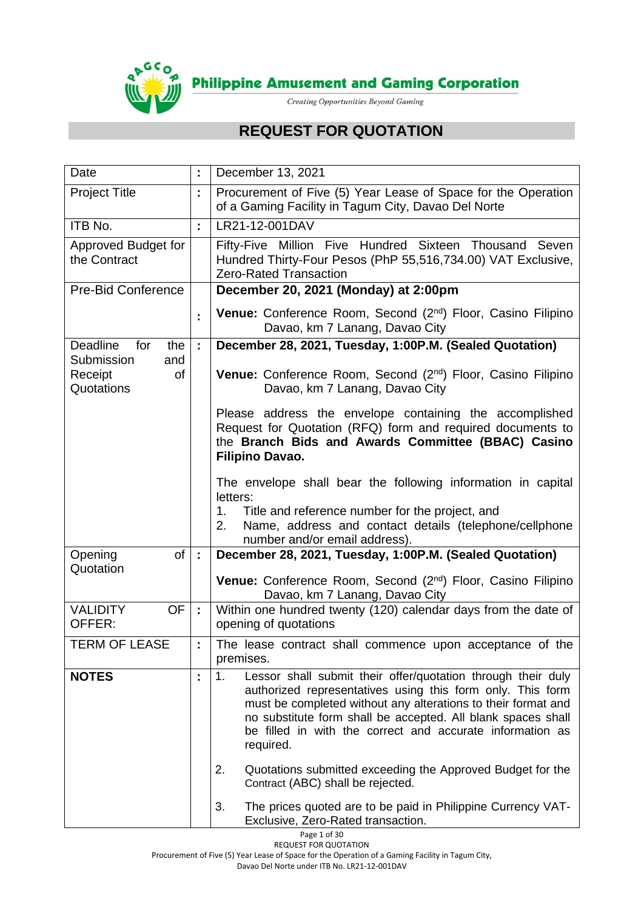

# **REQUEST FOR QUOTATION**

| Date                                             | ÷.                                                                                                                                                      | December 13, 2021                                                                                                                                                                                                                                                                                                                                                                                                                                                                                                                                                |  |  |
|--------------------------------------------------|---------------------------------------------------------------------------------------------------------------------------------------------------------|------------------------------------------------------------------------------------------------------------------------------------------------------------------------------------------------------------------------------------------------------------------------------------------------------------------------------------------------------------------------------------------------------------------------------------------------------------------------------------------------------------------------------------------------------------------|--|--|
| <b>Project Title</b>                             | ÷.                                                                                                                                                      | Procurement of Five (5) Year Lease of Space for the Operation<br>of a Gaming Facility in Tagum City, Davao Del Norte                                                                                                                                                                                                                                                                                                                                                                                                                                             |  |  |
| ITB No.                                          | ÷.                                                                                                                                                      | LR21-12-001DAV                                                                                                                                                                                                                                                                                                                                                                                                                                                                                                                                                   |  |  |
| Approved Budget for<br>the Contract              | Fifty-Five Million Five Hundred Sixteen Thousand Seven<br>Hundred Thirty-Four Pesos (PhP 55,516,734.00) VAT Exclusive,<br><b>Zero-Rated Transaction</b> |                                                                                                                                                                                                                                                                                                                                                                                                                                                                                                                                                                  |  |  |
| <b>Pre-Bid Conference</b>                        |                                                                                                                                                         | December 20, 2021 (Monday) at 2:00pm                                                                                                                                                                                                                                                                                                                                                                                                                                                                                                                             |  |  |
|                                                  | ł,                                                                                                                                                      | Venue: Conference Room, Second (2 <sup>nd</sup> ) Floor, Casino Filipino<br>Davao, km 7 Lanang, Davao City                                                                                                                                                                                                                                                                                                                                                                                                                                                       |  |  |
| Deadline<br>for<br>the                           | ÷.                                                                                                                                                      | December 28, 2021, Tuesday, 1:00P.M. (Sealed Quotation)                                                                                                                                                                                                                                                                                                                                                                                                                                                                                                          |  |  |
| Submission<br>and<br>Receipt<br>of<br>Quotations |                                                                                                                                                         | Venue: Conference Room, Second (2nd) Floor, Casino Filipino<br>Davao, km 7 Lanang, Davao City                                                                                                                                                                                                                                                                                                                                                                                                                                                                    |  |  |
|                                                  |                                                                                                                                                         | Please address the envelope containing the accomplished<br>Request for Quotation (RFQ) form and required documents to<br>the Branch Bids and Awards Committee (BBAC) Casino<br><b>Filipino Davao.</b>                                                                                                                                                                                                                                                                                                                                                            |  |  |
|                                                  |                                                                                                                                                         | The envelope shall bear the following information in capital<br>letters:<br>Title and reference number for the project, and<br>1.<br>Name, address and contact details (telephone/cellphone<br>2.<br>number and/or email address).                                                                                                                                                                                                                                                                                                                               |  |  |
| Opening<br>of                                    | $\mathcal{L}^{\mathcal{A}}$                                                                                                                             | December 28, 2021, Tuesday, 1:00P.M. (Sealed Quotation)                                                                                                                                                                                                                                                                                                                                                                                                                                                                                                          |  |  |
| Quotation                                        |                                                                                                                                                         | Venue: Conference Room, Second (2nd) Floor, Casino Filipino<br>Davao, km 7 Lanang, Davao City                                                                                                                                                                                                                                                                                                                                                                                                                                                                    |  |  |
| <b>VALIDITY</b><br><b>OF</b><br>OFFER:           | ÷.                                                                                                                                                      | Within one hundred twenty (120) calendar days from the date of<br>opening of quotations                                                                                                                                                                                                                                                                                                                                                                                                                                                                          |  |  |
| <b>TERM OF LEASE</b>                             |                                                                                                                                                         | The lease contract shall commence upon acceptance of the<br>premises.                                                                                                                                                                                                                                                                                                                                                                                                                                                                                            |  |  |
| <b>NOTES</b>                                     |                                                                                                                                                         | Lessor shall submit their offer/quotation through their duly<br>1.<br>authorized representatives using this form only. This form<br>must be completed without any alterations to their format and<br>no substitute form shall be accepted. All blank spaces shall<br>be filled in with the correct and accurate information as<br>required.<br>2.<br>Quotations submitted exceeding the Approved Budget for the<br>Contract (ABC) shall be rejected.<br>3.<br>The prices quoted are to be paid in Philippine Currency VAT-<br>Exclusive, Zero-Rated transaction. |  |  |

Page 1 of 30

REQUEST FOR QUOTATION Procurement of Five (5) Year Lease of Space for the Operation of a Gaming Facility in Tagum City,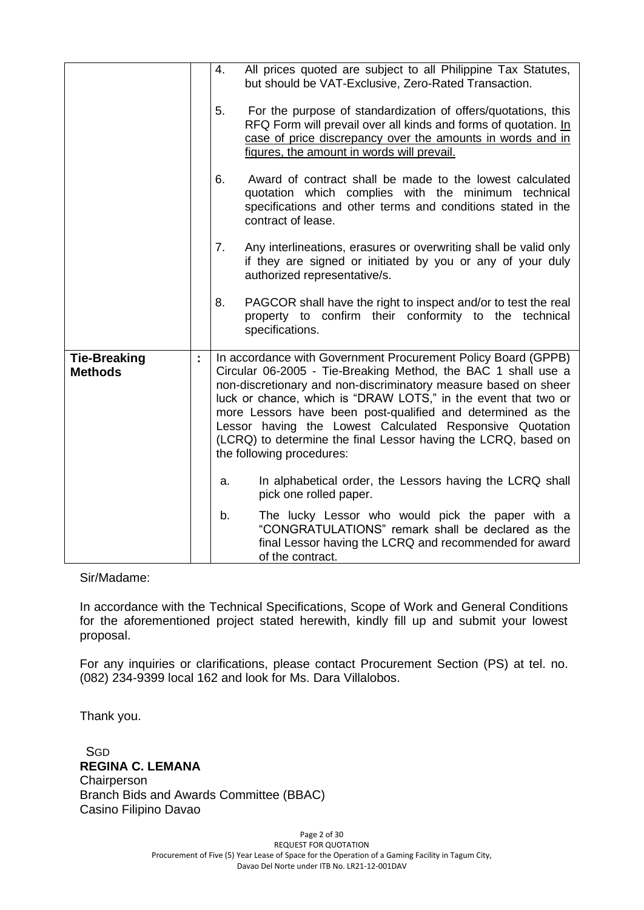|                                       |                                                  | 4.             | All prices quoted are subject to all Philippine Tax Statutes,<br>but should be VAT-Exclusive, Zero-Rated Transaction.                                                                                                                                                                                                                                                                                                                                                                         |  |
|---------------------------------------|--------------------------------------------------|----------------|-----------------------------------------------------------------------------------------------------------------------------------------------------------------------------------------------------------------------------------------------------------------------------------------------------------------------------------------------------------------------------------------------------------------------------------------------------------------------------------------------|--|
|                                       | 5.<br>figures, the amount in words will prevail. |                | For the purpose of standardization of offers/quotations, this<br>RFQ Form will prevail over all kinds and forms of quotation. In<br>case of price discrepancy over the amounts in words and in                                                                                                                                                                                                                                                                                                |  |
|                                       |                                                  | 6.             | Award of contract shall be made to the lowest calculated<br>quotation which complies with the minimum technical<br>specifications and other terms and conditions stated in the<br>contract of lease.                                                                                                                                                                                                                                                                                          |  |
|                                       |                                                  | 7 <sub>1</sub> | Any interlineations, erasures or overwriting shall be valid only<br>if they are signed or initiated by you or any of your duly<br>authorized representative/s.                                                                                                                                                                                                                                                                                                                                |  |
|                                       |                                                  | 8.             | PAGCOR shall have the right to inspect and/or to test the real<br>property to confirm their conformity to the technical<br>specifications.                                                                                                                                                                                                                                                                                                                                                    |  |
| <b>Tie-Breaking</b><br><b>Methods</b> | t,                                               |                | In accordance with Government Procurement Policy Board (GPPB)<br>Circular 06-2005 - Tie-Breaking Method, the BAC 1 shall use a<br>non-discretionary and non-discriminatory measure based on sheer<br>luck or chance, which is "DRAW LOTS," in the event that two or<br>more Lessors have been post-qualified and determined as the<br>Lessor having the Lowest Calculated Responsive Quotation<br>(LCRQ) to determine the final Lessor having the LCRQ, based on<br>the following procedures: |  |
|                                       |                                                  | a.             | In alphabetical order, the Lessors having the LCRQ shall<br>pick one rolled paper.                                                                                                                                                                                                                                                                                                                                                                                                            |  |
|                                       |                                                  | b.             | The lucky Lessor who would pick the paper with a<br>"CONGRATULATIONS" remark shall be declared as the<br>final Lessor having the LCRQ and recommended for award<br>of the contract.                                                                                                                                                                                                                                                                                                           |  |

Sir/Madame:

In accordance with the Technical Specifications, Scope of Work and General Conditions for the aforementioned project stated herewith, kindly fill up and submit your lowest proposal.

For any inquiries or clarifications, please contact Procurement Section (PS) at tel. no. (082) 234-9399 local 162 and look for Ms. Dara Villalobos.

Thank you.

**SGD REGINA C. LEMANA Chairperson** Branch Bids and Awards Committee (BBAC) Casino Filipino Davao

> Page 2 of 30 REQUEST FOR QUOTATION Procurement of Five (5) Year Lease of Space for the Operation of a Gaming Facility in Tagum City, Davao Del Norte under ITB No. LR21-12-001DAV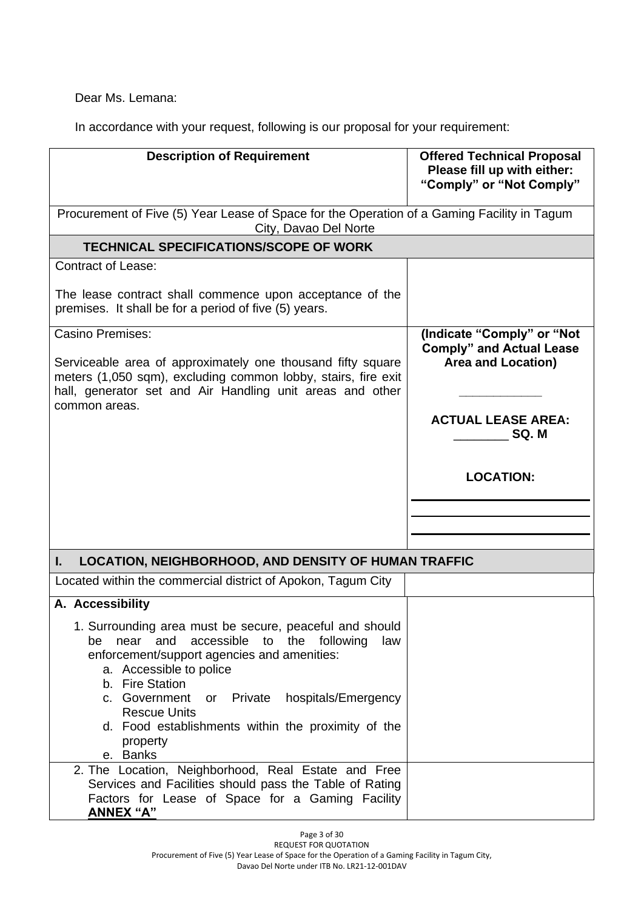Dear Ms. Lemana:

In accordance with your request, following is our proposal for your requirement:

| <b>Description of Requirement</b>                                                                                                                                                                                                                                                                                                                                                      | <b>Offered Technical Proposal</b><br>Please fill up with either:<br>"Comply" or "Not Comply" |
|----------------------------------------------------------------------------------------------------------------------------------------------------------------------------------------------------------------------------------------------------------------------------------------------------------------------------------------------------------------------------------------|----------------------------------------------------------------------------------------------|
| Procurement of Five (5) Year Lease of Space for the Operation of a Gaming Facility in Tagum<br>City, Davao Del Norte                                                                                                                                                                                                                                                                   |                                                                                              |
| <b>TECHNICAL SPECIFICATIONS/SCOPE OF WORK</b>                                                                                                                                                                                                                                                                                                                                          |                                                                                              |
| <b>Contract of Lease:</b>                                                                                                                                                                                                                                                                                                                                                              |                                                                                              |
| The lease contract shall commence upon acceptance of the<br>premises. It shall be for a period of five (5) years.                                                                                                                                                                                                                                                                      |                                                                                              |
| <b>Casino Premises:</b><br>Serviceable area of approximately one thousand fifty square<br>meters (1,050 sqm), excluding common lobby, stairs, fire exit<br>hall, generator set and Air Handling unit areas and other                                                                                                                                                                   | (Indicate "Comply" or "Not<br><b>Comply" and Actual Lease</b><br><b>Area and Location)</b>   |
| common areas.                                                                                                                                                                                                                                                                                                                                                                          | <b>ACTUAL LEASE AREA:</b><br>SQ.M                                                            |
|                                                                                                                                                                                                                                                                                                                                                                                        | <b>LOCATION:</b>                                                                             |
|                                                                                                                                                                                                                                                                                                                                                                                        |                                                                                              |
|                                                                                                                                                                                                                                                                                                                                                                                        |                                                                                              |
| <b>LOCATION, NEIGHBORHOOD, AND DENSITY OF HUMAN TRAFFIC</b><br>L.                                                                                                                                                                                                                                                                                                                      |                                                                                              |
| Located within the commercial district of Apokon, Tagum City                                                                                                                                                                                                                                                                                                                           |                                                                                              |
| A. Accessibility                                                                                                                                                                                                                                                                                                                                                                       |                                                                                              |
| 1. Surrounding area must be secure, peaceful and should<br>accessible<br>to<br>the<br>following<br>and<br>law<br>be<br>near<br>enforcement/support agencies and amenities:<br>a. Accessible to police<br>b. Fire Station<br>c. Government<br>Private<br>hospitals/Emergency<br>or<br><b>Rescue Units</b><br>d. Food establishments within the proximity of the<br>property<br>e. Banks |                                                                                              |
| 2. The Location, Neighborhood, Real Estate and Free<br>Services and Facilities should pass the Table of Rating<br>Factors for Lease of Space for a Gaming Facility<br><b>ANNEX "A"</b>                                                                                                                                                                                                 |                                                                                              |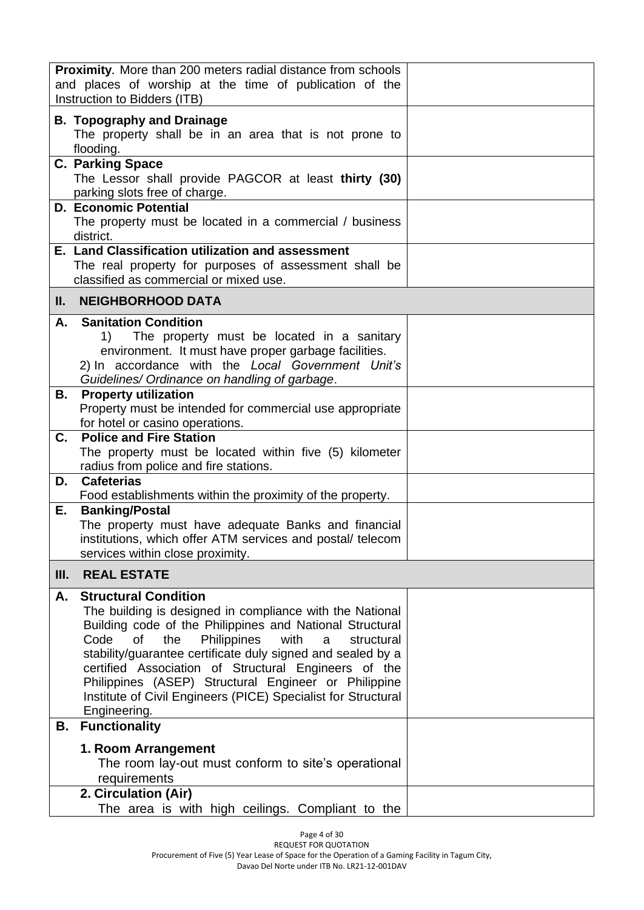| <b>Proximity.</b> More than 200 meters radial distance from schools<br>and places of worship at the time of publication of the<br>Instruction to Bidders (ITB)                                                                                                                                                                                                                                                                                                                                  |  |
|-------------------------------------------------------------------------------------------------------------------------------------------------------------------------------------------------------------------------------------------------------------------------------------------------------------------------------------------------------------------------------------------------------------------------------------------------------------------------------------------------|--|
| <b>B. Topography and Drainage</b><br>The property shall be in an area that is not prone to<br>flooding.                                                                                                                                                                                                                                                                                                                                                                                         |  |
| <b>C. Parking Space</b><br>The Lessor shall provide PAGCOR at least thirty (30)<br>parking slots free of charge.                                                                                                                                                                                                                                                                                                                                                                                |  |
| <b>D. Economic Potential</b><br>The property must be located in a commercial / business<br>district.                                                                                                                                                                                                                                                                                                                                                                                            |  |
| E. Land Classification utilization and assessment<br>The real property for purposes of assessment shall be<br>classified as commercial or mixed use.                                                                                                                                                                                                                                                                                                                                            |  |
| <b>NEIGHBORHOOD DATA</b><br>Ш.                                                                                                                                                                                                                                                                                                                                                                                                                                                                  |  |
| <b>Sanitation Condition</b><br>А.<br>The property must be located in a sanitary<br>1)<br>environment. It must have proper garbage facilities.<br>2) In accordance with the Local Government Unit's<br>Guidelines/ Ordinance on handling of garbage.                                                                                                                                                                                                                                             |  |
| <b>Property utilization</b><br>В.<br>Property must be intended for commercial use appropriate<br>for hotel or casino operations.                                                                                                                                                                                                                                                                                                                                                                |  |
| <b>Police and Fire Station</b><br>C.<br>The property must be located within five (5) kilometer<br>radius from police and fire stations.                                                                                                                                                                                                                                                                                                                                                         |  |
| <b>Cafeterias</b><br>D.<br>Food establishments within the proximity of the property.                                                                                                                                                                                                                                                                                                                                                                                                            |  |
| <b>Banking/Postal</b><br>Е.<br>The property must have adequate Banks and financial<br>institutions, which offer ATM services and postal/ telecom<br>services within close proximity.                                                                                                                                                                                                                                                                                                            |  |
| <b>REAL ESTATE</b><br>III.                                                                                                                                                                                                                                                                                                                                                                                                                                                                      |  |
| <b>Structural Condition</b><br>А.<br>The building is designed in compliance with the National<br>Building code of the Philippines and National Structural<br><b>of</b><br>the<br>Philippines<br>with<br>Code<br>structural<br>a<br>stability/guarantee certificate duly signed and sealed by a<br>certified Association of Structural Engineers of the<br>Philippines (ASEP) Structural Engineer or Philippine<br>Institute of Civil Engineers (PICE) Specialist for Structural<br>Engineering. |  |
| <b>Functionality</b><br>В.                                                                                                                                                                                                                                                                                                                                                                                                                                                                      |  |
| 1. Room Arrangement<br>The room lay-out must conform to site's operational<br>requirements<br>2. Circulation (Air)                                                                                                                                                                                                                                                                                                                                                                              |  |
| The area is with high ceilings. Compliant to the                                                                                                                                                                                                                                                                                                                                                                                                                                                |  |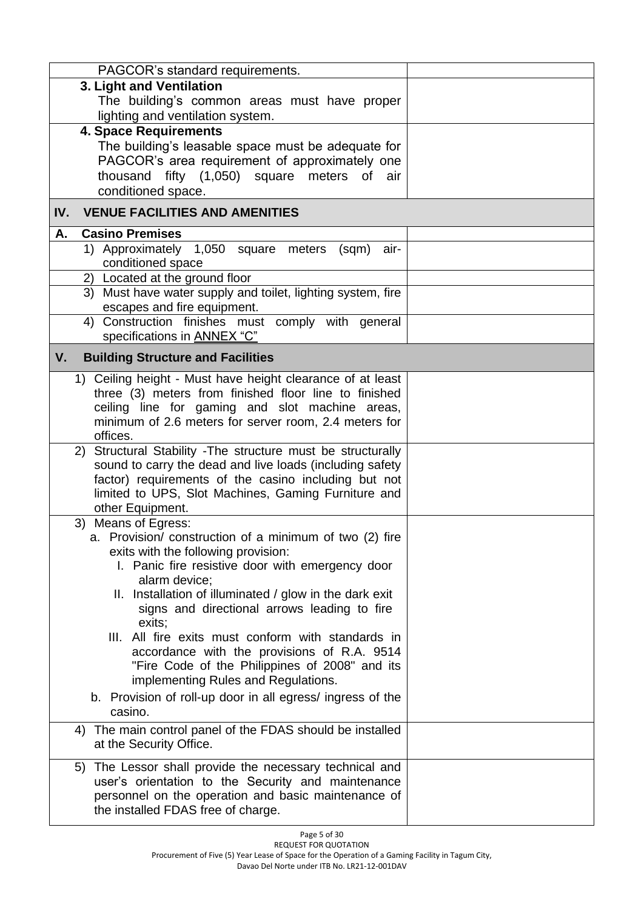| PAGCOR's standard requirements.                                                            |  |
|--------------------------------------------------------------------------------------------|--|
| 3. Light and Ventilation                                                                   |  |
| The building's common areas must have proper                                               |  |
| lighting and ventilation system.                                                           |  |
| <b>4. Space Requirements</b>                                                               |  |
| The building's leasable space must be adequate for                                         |  |
| PAGCOR's area requirement of approximately one                                             |  |
| thousand fifty (1,050) square meters of air                                                |  |
| conditioned space.                                                                         |  |
| IV.<br><b>VENUE FACILITIES AND AMENITIES</b>                                               |  |
| <b>Casino Premises</b><br>Α.                                                               |  |
| 1) Approximately 1,050 square meters<br>air-<br>(sqm)                                      |  |
| conditioned space                                                                          |  |
| 2) Located at the ground floor                                                             |  |
| 3) Must have water supply and toilet, lighting system, fire<br>escapes and fire equipment. |  |
| 4) Construction finishes must comply with general                                          |  |
| specifications in ANNEX "C"                                                                |  |
| V.<br><b>Building Structure and Facilities</b>                                             |  |
| 1) Ceiling height - Must have height clearance of at least                                 |  |
| three (3) meters from finished floor line to finished                                      |  |
| ceiling line for gaming and slot machine areas,                                            |  |
| minimum of 2.6 meters for server room, 2.4 meters for                                      |  |
| offices.                                                                                   |  |
| 2) Structural Stability - The structure must be structurally                               |  |
| sound to carry the dead and live loads (including safety                                   |  |
| factor) requirements of the casino including but not                                       |  |
| limited to UPS, Slot Machines, Gaming Furniture and<br>other Equipment.                    |  |
| 3) Means of Egress:                                                                        |  |
| a. Provision/ construction of a minimum of two (2) fire                                    |  |
| exits with the following provision:                                                        |  |
| I. Panic fire resistive door with emergency door                                           |  |
| alarm device;                                                                              |  |
| II. Installation of illuminated / glow in the dark exit                                    |  |
| signs and directional arrows leading to fire                                               |  |
| exits;                                                                                     |  |
| III. All fire exits must conform with standards in                                         |  |
| accordance with the provisions of R.A. 9514                                                |  |
| "Fire Code of the Philippines of 2008" and its                                             |  |
| implementing Rules and Regulations.                                                        |  |
| b. Provision of roll-up door in all egress/ingress of the<br>casino.                       |  |
| 4) The main control panel of the FDAS should be installed                                  |  |
| at the Security Office.                                                                    |  |
|                                                                                            |  |
| The Lessor shall provide the necessary technical and<br>5)                                 |  |
| user's orientation to the Security and maintenance                                         |  |
| personnel on the operation and basic maintenance of                                        |  |
| the installed FDAS free of charge.                                                         |  |
|                                                                                            |  |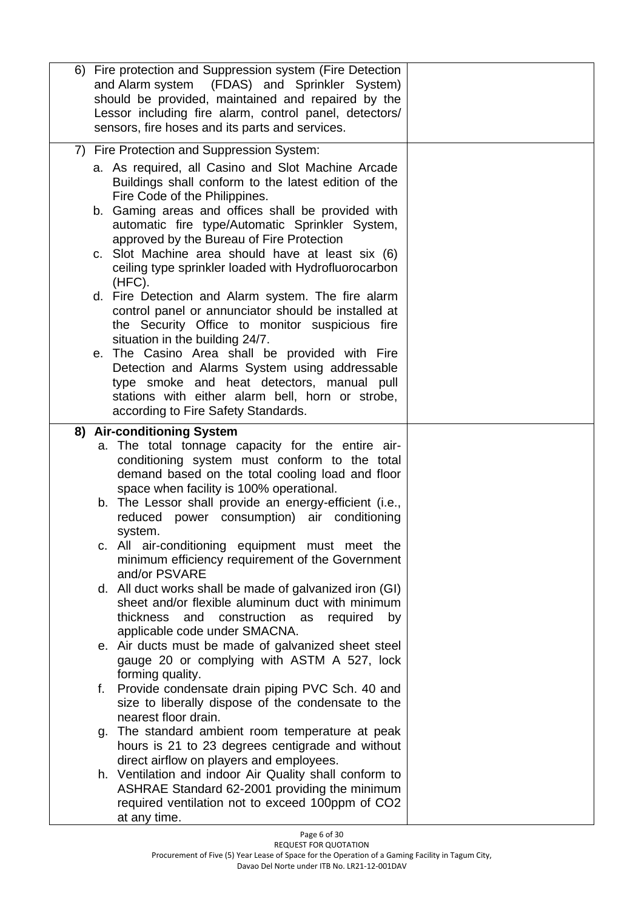| 6) Fire protection and Suppression system (Fire Detection<br>and Alarm system (FDAS) and Sprinkler System)<br>should be provided, maintained and repaired by the<br>Lessor including fire alarm, control panel, detectors/<br>sensors, fire hoses and its parts and services.                                                                                                                                                                                                                                                                                                                                                                                                                                                                                                                                                                                                                                        |    |
|----------------------------------------------------------------------------------------------------------------------------------------------------------------------------------------------------------------------------------------------------------------------------------------------------------------------------------------------------------------------------------------------------------------------------------------------------------------------------------------------------------------------------------------------------------------------------------------------------------------------------------------------------------------------------------------------------------------------------------------------------------------------------------------------------------------------------------------------------------------------------------------------------------------------|----|
| 7) Fire Protection and Suppression System:<br>a. As required, all Casino and Slot Machine Arcade<br>Buildings shall conform to the latest edition of the<br>Fire Code of the Philippines.<br>b. Gaming areas and offices shall be provided with<br>automatic fire type/Automatic Sprinkler System,<br>approved by the Bureau of Fire Protection<br>c. Slot Machine area should have at least six (6)<br>ceiling type sprinkler loaded with Hydrofluorocarbon<br>(HFC).<br>d. Fire Detection and Alarm system. The fire alarm<br>control panel or annunciator should be installed at<br>the Security Office to monitor suspicious fire<br>situation in the building 24/7.<br>e. The Casino Area shall be provided with Fire<br>Detection and Alarms System using addressable<br>type smoke and heat detectors, manual pull<br>stations with either alarm bell, horn or strobe,<br>according to Fire Safety Standards. |    |
| 8) Air-conditioning System<br>a. The total tonnage capacity for the entire air-<br>conditioning system must conform to the total<br>demand based on the total cooling load and floor<br>space when facility is 100% operational.<br>b. The Lessor shall provide an energy-efficient (i.e.,<br>reduced power consumption) air conditioning<br>system.<br>c. All air-conditioning equipment must meet the<br>minimum efficiency requirement of the Government<br>and/or PSVARE<br>d. All duct works shall be made of galvanized iron (GI)<br>sheet and/or flexible aluminum duct with minimum<br>thickness<br>and construction<br>as<br>required                                                                                                                                                                                                                                                                       | by |
| applicable code under SMACNA.<br>e. Air ducts must be made of galvanized sheet steel<br>gauge 20 or complying with ASTM A 527, lock<br>forming quality.<br>Provide condensate drain piping PVC Sch. 40 and<br>f.<br>size to liberally dispose of the condensate to the                                                                                                                                                                                                                                                                                                                                                                                                                                                                                                                                                                                                                                               |    |
| nearest floor drain.<br>g. The standard ambient room temperature at peak<br>hours is 21 to 23 degrees centigrade and without<br>direct airflow on players and employees.<br>h. Ventilation and indoor Air Quality shall conform to                                                                                                                                                                                                                                                                                                                                                                                                                                                                                                                                                                                                                                                                                   |    |
| ASHRAE Standard 62-2001 providing the minimum<br>required ventilation not to exceed 100ppm of CO2<br>at any time.                                                                                                                                                                                                                                                                                                                                                                                                                                                                                                                                                                                                                                                                                                                                                                                                    |    |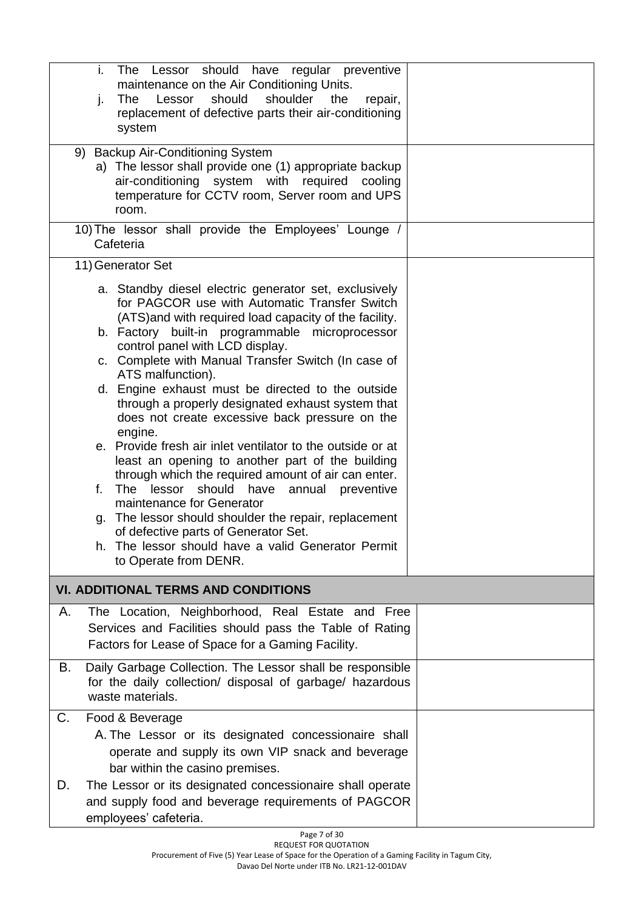| i.<br>The Lessor should have regular preventive<br>maintenance on the Air Conditioning Units.<br>shoulder<br>Lessor<br>should<br><b>The</b><br>the<br>repair,<br>j.<br>replacement of defective parts their air-conditioning<br>system                                                                                                                                                                                                                                                                                                                                                                                                                                                                                                                                                                                                                                                                                                               |  |
|------------------------------------------------------------------------------------------------------------------------------------------------------------------------------------------------------------------------------------------------------------------------------------------------------------------------------------------------------------------------------------------------------------------------------------------------------------------------------------------------------------------------------------------------------------------------------------------------------------------------------------------------------------------------------------------------------------------------------------------------------------------------------------------------------------------------------------------------------------------------------------------------------------------------------------------------------|--|
| 9) Backup Air-Conditioning System<br>a) The lessor shall provide one (1) appropriate backup<br>air-conditioning system with required cooling<br>temperature for CCTV room, Server room and UPS<br>room.                                                                                                                                                                                                                                                                                                                                                                                                                                                                                                                                                                                                                                                                                                                                              |  |
| 10) The lessor shall provide the Employees' Lounge /<br>Cafeteria                                                                                                                                                                                                                                                                                                                                                                                                                                                                                                                                                                                                                                                                                                                                                                                                                                                                                    |  |
| 11) Generator Set                                                                                                                                                                                                                                                                                                                                                                                                                                                                                                                                                                                                                                                                                                                                                                                                                                                                                                                                    |  |
| a. Standby diesel electric generator set, exclusively<br>for PAGCOR use with Automatic Transfer Switch<br>(ATS) and with required load capacity of the facility.<br>b. Factory built-in programmable microprocessor<br>control panel with LCD display.<br>c. Complete with Manual Transfer Switch (In case of<br>ATS malfunction).<br>d. Engine exhaust must be directed to the outside<br>through a properly designated exhaust system that<br>does not create excessive back pressure on the<br>engine.<br>e. Provide fresh air inlet ventilator to the outside or at<br>least an opening to another part of the building<br>through which the required amount of air can enter.<br>f. The lessor<br>should<br>have<br>annual preventive<br>maintenance for Generator<br>g. The lessor should shoulder the repair, replacement<br>of defective parts of Generator Set.<br>The lessor should have a valid Generator Permit<br>to Operate from DENR. |  |
| <b>VI. ADDITIONAL TERMS AND CONDITIONS</b>                                                                                                                                                                                                                                                                                                                                                                                                                                                                                                                                                                                                                                                                                                                                                                                                                                                                                                           |  |
| The Location, Neighborhood, Real Estate and Free<br>Α.<br>Services and Facilities should pass the Table of Rating<br>Factors for Lease of Space for a Gaming Facility.                                                                                                                                                                                                                                                                                                                                                                                                                                                                                                                                                                                                                                                                                                                                                                               |  |
| Daily Garbage Collection. The Lessor shall be responsible<br>В.<br>for the daily collection/ disposal of garbage/ hazardous<br>waste materials.                                                                                                                                                                                                                                                                                                                                                                                                                                                                                                                                                                                                                                                                                                                                                                                                      |  |
| C.<br>Food & Beverage<br>A. The Lessor or its designated concessionaire shall<br>operate and supply its own VIP snack and beverage<br>bar within the casino premises.                                                                                                                                                                                                                                                                                                                                                                                                                                                                                                                                                                                                                                                                                                                                                                                |  |
| The Lessor or its designated concessionaire shall operate<br>D.<br>and supply food and beverage requirements of PAGCOR<br>employees' cafeteria.                                                                                                                                                                                                                                                                                                                                                                                                                                                                                                                                                                                                                                                                                                                                                                                                      |  |

Page 7 of 30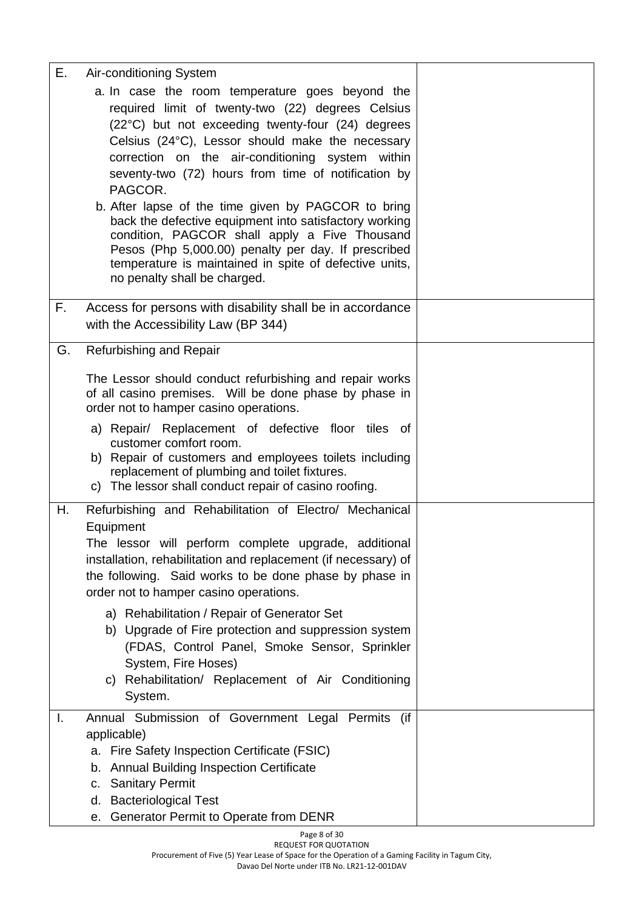| Ε. | Air-conditioning System                                                                                                                                                                                                                                                                                                             |  |
|----|-------------------------------------------------------------------------------------------------------------------------------------------------------------------------------------------------------------------------------------------------------------------------------------------------------------------------------------|--|
|    | a. In case the room temperature goes beyond the<br>required limit of twenty-two (22) degrees Celsius<br>(22°C) but not exceeding twenty-four (24) degrees<br>Celsius (24°C), Lessor should make the necessary<br>correction on the air-conditioning system within<br>seventy-two (72) hours from time of notification by<br>PAGCOR. |  |
|    | b. After lapse of the time given by PAGCOR to bring<br>back the defective equipment into satisfactory working<br>condition, PAGCOR shall apply a Five Thousand<br>Pesos (Php 5,000.00) penalty per day. If prescribed<br>temperature is maintained in spite of defective units,<br>no penalty shall be charged.                     |  |
| F. | Access for persons with disability shall be in accordance<br>with the Accessibility Law (BP 344)                                                                                                                                                                                                                                    |  |
| G. | Refurbishing and Repair                                                                                                                                                                                                                                                                                                             |  |
|    | The Lessor should conduct refurbishing and repair works<br>of all casino premises. Will be done phase by phase in<br>order not to hamper casino operations.                                                                                                                                                                         |  |
|    | a) Repair/ Replacement of defective floor tiles of<br>customer comfort room.<br>b) Repair of customers and employees toilets including<br>replacement of plumbing and toilet fixtures.<br>c) The lessor shall conduct repair of casino roofing.                                                                                     |  |
| Η. | Refurbishing and Rehabilitation of Electro/ Mechanical<br>Equipment<br>The lessor will perform complete upgrade, additional<br>installation, rehabilitation and replacement (if necessary) of<br>the following. Said works to be done phase by phase in<br>order not to hamper casino operations.                                   |  |
|    | a) Rehabilitation / Repair of Generator Set<br>b) Upgrade of Fire protection and suppression system<br>(FDAS, Control Panel, Smoke Sensor, Sprinkler<br>System, Fire Hoses)<br>c) Rehabilitation/ Replacement of Air Conditioning<br>System.                                                                                        |  |
| I. | Annual Submission of Government Legal Permits (if<br>applicable)<br>Fire Safety Inspection Certificate (FSIC)<br>а.<br><b>Annual Building Inspection Certificate</b><br>b.<br><b>Sanitary Permit</b><br>c.<br><b>Bacteriological Test</b><br>d.<br>e. Generator Permit to Operate from DENR                                         |  |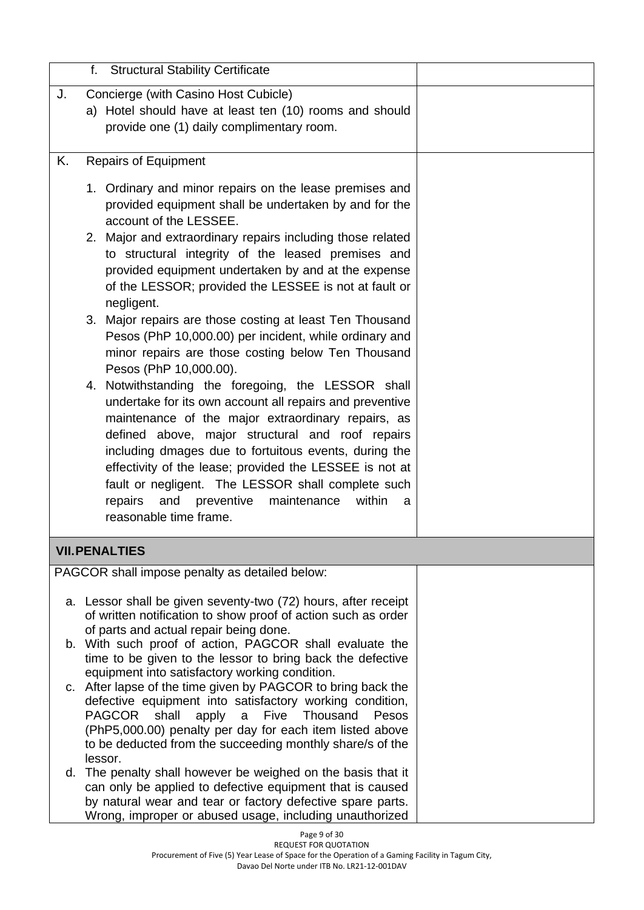|    | <b>Structural Stability Certificate</b><br>f.                                                                                                                                                                                                                                                                                                                                                                                                                                                                                                                                                                                                                                                                                                                                                                                                                                                                                                                                                                                                                                                    |  |
|----|--------------------------------------------------------------------------------------------------------------------------------------------------------------------------------------------------------------------------------------------------------------------------------------------------------------------------------------------------------------------------------------------------------------------------------------------------------------------------------------------------------------------------------------------------------------------------------------------------------------------------------------------------------------------------------------------------------------------------------------------------------------------------------------------------------------------------------------------------------------------------------------------------------------------------------------------------------------------------------------------------------------------------------------------------------------------------------------------------|--|
| J. | Concierge (with Casino Host Cubicle)<br>a) Hotel should have at least ten (10) rooms and should<br>provide one (1) daily complimentary room.                                                                                                                                                                                                                                                                                                                                                                                                                                                                                                                                                                                                                                                                                                                                                                                                                                                                                                                                                     |  |
| Κ. | <b>Repairs of Equipment</b>                                                                                                                                                                                                                                                                                                                                                                                                                                                                                                                                                                                                                                                                                                                                                                                                                                                                                                                                                                                                                                                                      |  |
|    | 1. Ordinary and minor repairs on the lease premises and<br>provided equipment shall be undertaken by and for the<br>account of the LESSEE.<br>2. Major and extraordinary repairs including those related<br>to structural integrity of the leased premises and<br>provided equipment undertaken by and at the expense<br>of the LESSOR; provided the LESSEE is not at fault or<br>negligent.<br>3. Major repairs are those costing at least Ten Thousand<br>Pesos (PhP 10,000.00) per incident, while ordinary and<br>minor repairs are those costing below Ten Thousand<br>Pesos (PhP 10,000.00).<br>4. Notwithstanding the foregoing, the LESSOR shall<br>undertake for its own account all repairs and preventive<br>maintenance of the major extraordinary repairs, as<br>defined above, major structural and roof repairs<br>including dmages due to fortuitous events, during the<br>effectivity of the lease; provided the LESSEE is not at<br>fault or negligent. The LESSOR shall complete such<br>and<br>preventive<br>repairs<br>maintenance<br>within<br>a<br>reasonable time frame. |  |
|    | <b>VII. PENALTIES</b>                                                                                                                                                                                                                                                                                                                                                                                                                                                                                                                                                                                                                                                                                                                                                                                                                                                                                                                                                                                                                                                                            |  |
|    | PAGCOR shall impose penalty as detailed below:                                                                                                                                                                                                                                                                                                                                                                                                                                                                                                                                                                                                                                                                                                                                                                                                                                                                                                                                                                                                                                                   |  |
|    | a. Lessor shall be given seventy-two (72) hours, after receipt<br>of written notification to show proof of action such as order<br>of parts and actual repair being done.<br>b. With such proof of action, PAGCOR shall evaluate the<br>time to be given to the lessor to bring back the defective<br>equipment into satisfactory working condition.<br>c. After lapse of the time given by PAGCOR to bring back the<br>defective equipment into satisfactory working condition,<br>Five<br>PAGCOR<br>shall<br>apply<br>$\mathsf{a}$<br>Thousand<br>Pesos<br>(PhP5,000.00) penalty per day for each item listed above<br>to be deducted from the succeeding monthly share/s of the<br>lessor.<br>d. The penalty shall however be weighed on the basis that it                                                                                                                                                                                                                                                                                                                                    |  |
|    | can only be applied to defective equipment that is caused<br>by natural wear and tear or factory defective spare parts.<br>Wrong, improper or abused usage, including unauthorized                                                                                                                                                                                                                                                                                                                                                                                                                                                                                                                                                                                                                                                                                                                                                                                                                                                                                                               |  |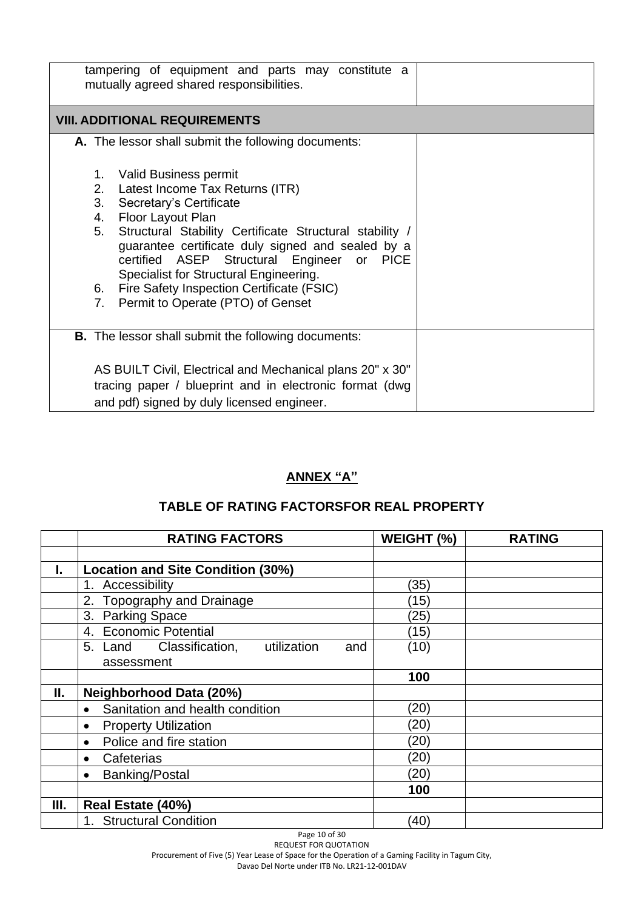| tampering of equipment and parts may constitute a<br>mutually agreed shared responsibilities.                                                                                                                                                                                                                                                                                                                                 |  |
|-------------------------------------------------------------------------------------------------------------------------------------------------------------------------------------------------------------------------------------------------------------------------------------------------------------------------------------------------------------------------------------------------------------------------------|--|
| <b>VIII. ADDITIONAL REQUIREMENTS</b>                                                                                                                                                                                                                                                                                                                                                                                          |  |
| A. The lessor shall submit the following documents:                                                                                                                                                                                                                                                                                                                                                                           |  |
| 1. Valid Business permit<br>2. Latest Income Tax Returns (ITR)<br>3.<br>Secretary's Certificate<br>4. Floor Layout Plan<br>Structural Stability Certificate Structural stability /<br>5.<br>quarantee certificate duly signed and sealed by a<br>certified ASEP Structural Engineer or PICE<br>Specialist for Structural Engineering.<br>6. Fire Safety Inspection Certificate (FSIC)<br>7. Permit to Operate (PTO) of Genset |  |
| <b>B.</b> The lessor shall submit the following documents:                                                                                                                                                                                                                                                                                                                                                                    |  |
| AS BUILT Civil, Electrical and Mechanical plans 20" x 30"<br>tracing paper / blueprint and in electronic format (dwg<br>and pdf) signed by duly licensed engineer.                                                                                                                                                                                                                                                            |  |

## **ANNEX "A"**

# **TABLE OF RATING FACTORSFOR REAL PROPERTY**

|    | <b>RATING FACTORS</b>                      | WEIGHT (%)         | <b>RATING</b> |
|----|--------------------------------------------|--------------------|---------------|
|    |                                            |                    |               |
| L. | <b>Location and Site Condition (30%)</b>   |                    |               |
|    | 1. Accessibility                           | (35)               |               |
|    | 2. Topography and Drainage                 | (15)               |               |
|    | <b>Parking Space</b><br>3.                 | (25)               |               |
|    | 4. Economic Potential                      | (15)               |               |
|    | 5. Land Classification, utilization<br>and | (10)               |               |
|    | assessment                                 |                    |               |
|    |                                            | 100                |               |
| П. | <b>Neighborhood Data (20%)</b>             |                    |               |
|    | Sanitation and health condition            | (20)               |               |
|    | <b>Property Utilization</b><br>$\bullet$   | (20)               |               |
|    | Police and fire station<br>$\bullet$       | (20)               |               |
|    | Cafeterias<br>$\bullet$                    | (20)               |               |
|    | <b>Banking/Postal</b><br>$\bullet$         | (20)               |               |
|    |                                            | 100                |               |
| Ш. | Real Estate (40%)                          |                    |               |
|    | 1. Structural Condition                    | $\left( 40\right)$ |               |

Page 10 of 30 REQUEST FOR QUOTATION

Procurement of Five (5) Year Lease of Space for the Operation of a Gaming Facility in Tagum City,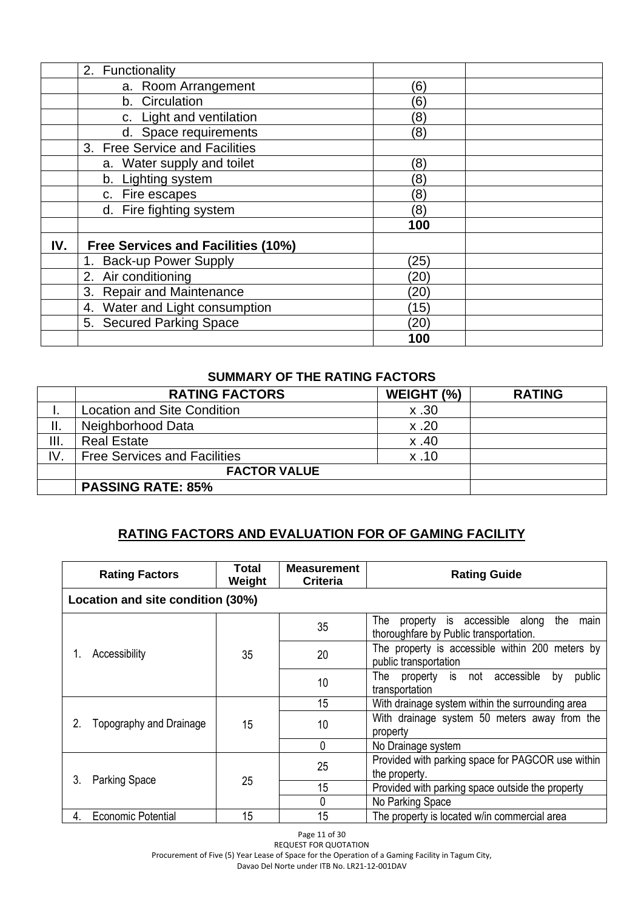|     | 2. Functionality                          |                   |  |
|-----|-------------------------------------------|-------------------|--|
|     | a. Room Arrangement                       | (6)               |  |
|     | b. Circulation                            | $\left[6\right]$  |  |
|     | c. Light and ventilation                  | $\left( 8\right)$ |  |
|     | d. Space requirements                     | (8)               |  |
|     | 3. Free Service and Facilities            |                   |  |
|     | a. Water supply and toilet                | (8)               |  |
|     | b. Lighting system                        | $\left(8\right)$  |  |
|     | c. Fire escapes                           | $\left(8\right)$  |  |
|     | d. Fire fighting system                   | (8)               |  |
|     |                                           | 100               |  |
| IV. | <b>Free Services and Facilities (10%)</b> |                   |  |
|     | 1. Back-up Power Supply                   | (25)              |  |
|     | 2. Air conditioning                       | (20)              |  |
|     | 3. Repair and Maintenance                 | (20)              |  |
|     | 4. Water and Light consumption            | (15)              |  |
|     | 5. Secured Parking Space                  | (20)              |  |
|     |                                           | 100               |  |

### **SUMMARY OF THE RATING FACTORS**

|      | <b>RATING FACTORS</b>               | WEIGHT (%) | <b>RATING</b> |
|------|-------------------------------------|------------|---------------|
|      | <b>Location and Site Condition</b>  | x.30       |               |
| ΙΙ.  | Neighborhood Data                   | x.20       |               |
| III. | <b>Real Estate</b>                  | x.40       |               |
| IV.  | <b>Free Services and Facilities</b> | x.10       |               |
|      | <b>FACTOR VALUE</b>                 |            |               |
|      | <b>PASSING RATE: 85%</b>            |            |               |

# **RATING FACTORS AND EVALUATION FOR OF GAMING FACILITY**

| <b>Rating Factors</b>             | Total<br>Weight | <b>Measurement</b><br>Criteria | <b>Rating Guide</b>                                                                          |
|-----------------------------------|-----------------|--------------------------------|----------------------------------------------------------------------------------------------|
| Location and site condition (30%) |                 |                                |                                                                                              |
|                                   |                 | 35                             | property is accessible along<br>The<br>the<br>main<br>thoroughfare by Public transportation. |
| Accessibility                     | 35              | 20                             | The property is accessible within 200 meters by<br>public transportation                     |
|                                   |                 | 10                             | The property is not accessible<br>public<br>by<br>transportation                             |
|                                   |                 | 15                             | With drainage system within the surrounding area                                             |
| 2.<br>Topography and Drainage     | 15              | 10                             | With drainage system 50 meters away from the<br>property                                     |
|                                   |                 | $\Omega$                       | No Drainage system                                                                           |
|                                   |                 | 25                             | Provided with parking space for PAGCOR use within<br>the property.                           |
| 3.<br><b>Parking Space</b>        | 25              | 15                             | Provided with parking space outside the property                                             |
|                                   |                 | 0                              | No Parking Space                                                                             |
| <b>Economic Potential</b><br>4.   | 15              | 15                             | The property is located w/in commercial area                                                 |

Page 11 of 30

REQUEST FOR QUOTATION Procurement of Five (5) Year Lease of Space for the Operation of a Gaming Facility in Tagum City,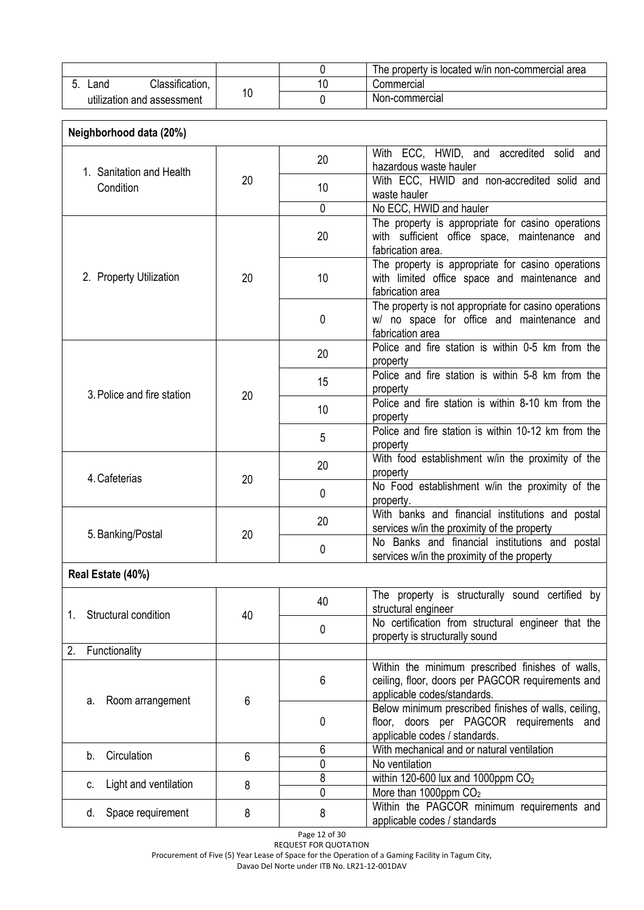|                            |    | The property is located w/in non-commercial area |
|----------------------------|----|--------------------------------------------------|
| Classification,<br>∟and    |    | Commercial                                       |
| utilization and assessment | 10 | Non-commercial                                   |

| Neighborhood data (20%)     |    |             |                                                                                                                                      |
|-----------------------------|----|-------------|--------------------------------------------------------------------------------------------------------------------------------------|
| 1. Sanitation and Health    |    | 20          | With ECC, HWID, and accredited solid and<br>hazardous waste hauler                                                                   |
| Condition                   | 20 | 10          | With ECC, HWID and non-accredited solid and<br>waste hauler                                                                          |
|                             |    | 0           | No ECC, HWID and hauler                                                                                                              |
|                             |    | 20          | The property is appropriate for casino operations<br>with sufficient office space, maintenance and<br>fabrication area.              |
| 2. Property Utilization     | 20 | 10          | The property is appropriate for casino operations<br>with limited office space and maintenance and<br>fabrication area               |
|                             |    | 0           | The property is not appropriate for casino operations<br>w/ no space for office and maintenance and<br>fabrication area              |
|                             |    | 20          | Police and fire station is within 0-5 km from the<br>property                                                                        |
| 3. Police and fire station  | 20 | 15          | Police and fire station is within 5-8 km from the<br>property                                                                        |
|                             |    | 10          | Police and fire station is within 8-10 km from the<br>property                                                                       |
|                             |    | 5           | Police and fire station is within 10-12 km from the<br>property                                                                      |
| 4. Cafeterias               | 20 | 20          | With food establishment w/in the proximity of the<br>property                                                                        |
|                             |    | $\mathbf 0$ | No Food establishment w/in the proximity of the<br>property.                                                                         |
| 5. Banking/Postal           | 20 | 20          | With banks and financial institutions and postal<br>services w/in the proximity of the property                                      |
|                             |    | 0           | No Banks and financial institutions and postal<br>services w/in the proximity of the property                                        |
| Real Estate (40%)           |    |             |                                                                                                                                      |
| Structural condition<br>1.  |    | 40          | The property is structurally sound certified by<br>structural engineer                                                               |
|                             | 40 | 0           | No certification from structural engineer that the<br>property is structurally sound                                                 |
| Functionality<br>2.         |    |             |                                                                                                                                      |
| Room arrangement<br>а.      | 6  | 6           | Within the minimum prescribed finishes of walls,<br>ceiling, floor, doors per PAGCOR requirements and<br>applicable codes/standards. |
|                             |    | 0           | Below minimum prescribed finishes of walls, ceiling,<br>floor, doors per PAGCOR requirements and<br>applicable codes / standards.    |
| Circulation<br>b.           | 6  | 6<br>0      | With mechanical and or natural ventilation<br>No ventilation                                                                         |
| Light and ventilation<br>c. | 8  | 8<br>0      | within 120-600 lux and 1000ppm $CO2$<br>More than 1000ppm CO <sub>2</sub>                                                            |
| d. Space requirement        | 8  | 8           | Within the PAGCOR minimum requirements and<br>applicable codes / standards                                                           |

Page 12 of 30 REQUEST FOR QUOTATION

Procurement of Five (5) Year Lease of Space for the Operation of a Gaming Facility in Tagum City,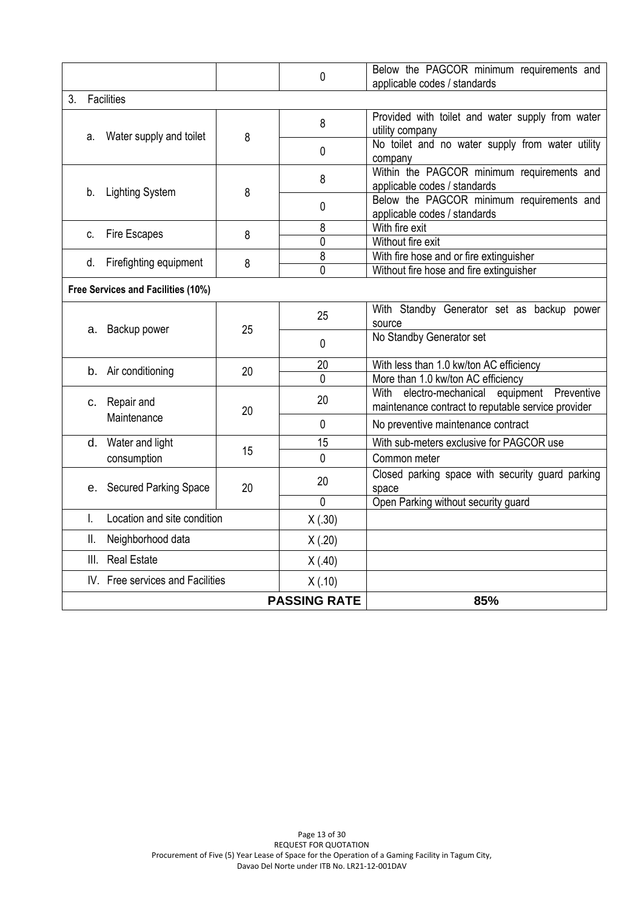| c. Fire Escapes<br>d. Firefighting equipment<br>Free Services and Facilities (10%)<br>a. Backup power<br>b. Air conditioning<br>c. Repair and<br>Maintenance<br>d. Water and light<br>consumption<br>e. Secured Parking Space<br>Location and site condition<br>Neighborhood data<br><b>Real Estate</b><br>III.<br>IV. Free services and Facilities | 8<br>25<br>20<br>20<br>15<br>20                   | 8<br>0<br>25<br>0<br>20<br>$\Omega$<br>20<br>$\mathbf{0}$<br>15<br>$\Omega$<br>20<br>$\mathbf{0}$<br>X(.30)<br>X(.20)<br>X(0.40)<br>X(.10) | With fire hose and or fire extinguisher<br>Without fire hose and fire extinguisher<br>With Standby Generator set as backup power<br>source<br>No Standby Generator set<br>With less than 1.0 kw/ton AC efficiency<br>More than 1.0 kw/ton AC efficiency<br>With electro-mechanical<br>equipment Preventive<br>maintenance contract to reputable service provider<br>No preventive maintenance contract<br>With sub-meters exclusive for PAGCOR use<br>Common meter<br>Closed parking space with security guard parking<br>space<br>Open Parking without security guard |
|-----------------------------------------------------------------------------------------------------------------------------------------------------------------------------------------------------------------------------------------------------------------------------------------------------------------------------------------------------|---------------------------------------------------|--------------------------------------------------------------------------------------------------------------------------------------------|------------------------------------------------------------------------------------------------------------------------------------------------------------------------------------------------------------------------------------------------------------------------------------------------------------------------------------------------------------------------------------------------------------------------------------------------------------------------------------------------------------------------------------------------------------------------|
|                                                                                                                                                                                                                                                                                                                                                     |                                                   |                                                                                                                                            |                                                                                                                                                                                                                                                                                                                                                                                                                                                                                                                                                                        |
|                                                                                                                                                                                                                                                                                                                                                     |                                                   |                                                                                                                                            |                                                                                                                                                                                                                                                                                                                                                                                                                                                                                                                                                                        |
|                                                                                                                                                                                                                                                                                                                                                     |                                                   |                                                                                                                                            |                                                                                                                                                                                                                                                                                                                                                                                                                                                                                                                                                                        |
|                                                                                                                                                                                                                                                                                                                                                     |                                                   |                                                                                                                                            |                                                                                                                                                                                                                                                                                                                                                                                                                                                                                                                                                                        |
|                                                                                                                                                                                                                                                                                                                                                     |                                                   |                                                                                                                                            |                                                                                                                                                                                                                                                                                                                                                                                                                                                                                                                                                                        |
|                                                                                                                                                                                                                                                                                                                                                     |                                                   |                                                                                                                                            |                                                                                                                                                                                                                                                                                                                                                                                                                                                                                                                                                                        |
|                                                                                                                                                                                                                                                                                                                                                     |                                                   |                                                                                                                                            |                                                                                                                                                                                                                                                                                                                                                                                                                                                                                                                                                                        |
|                                                                                                                                                                                                                                                                                                                                                     |                                                   |                                                                                                                                            |                                                                                                                                                                                                                                                                                                                                                                                                                                                                                                                                                                        |
|                                                                                                                                                                                                                                                                                                                                                     |                                                   |                                                                                                                                            |                                                                                                                                                                                                                                                                                                                                                                                                                                                                                                                                                                        |
|                                                                                                                                                                                                                                                                                                                                                     |                                                   |                                                                                                                                            |                                                                                                                                                                                                                                                                                                                                                                                                                                                                                                                                                                        |
|                                                                                                                                                                                                                                                                                                                                                     |                                                   |                                                                                                                                            |                                                                                                                                                                                                                                                                                                                                                                                                                                                                                                                                                                        |
|                                                                                                                                                                                                                                                                                                                                                     |                                                   |                                                                                                                                            |                                                                                                                                                                                                                                                                                                                                                                                                                                                                                                                                                                        |
|                                                                                                                                                                                                                                                                                                                                                     |                                                   |                                                                                                                                            |                                                                                                                                                                                                                                                                                                                                                                                                                                                                                                                                                                        |
|                                                                                                                                                                                                                                                                                                                                                     |                                                   |                                                                                                                                            |                                                                                                                                                                                                                                                                                                                                                                                                                                                                                                                                                                        |
|                                                                                                                                                                                                                                                                                                                                                     |                                                   |                                                                                                                                            |                                                                                                                                                                                                                                                                                                                                                                                                                                                                                                                                                                        |
|                                                                                                                                                                                                                                                                                                                                                     |                                                   |                                                                                                                                            |                                                                                                                                                                                                                                                                                                                                                                                                                                                                                                                                                                        |
|                                                                                                                                                                                                                                                                                                                                                     |                                                   |                                                                                                                                            |                                                                                                                                                                                                                                                                                                                                                                                                                                                                                                                                                                        |
|                                                                                                                                                                                                                                                                                                                                                     | 8                                                 | 8<br>0                                                                                                                                     | With fire exit<br>Without fire exit                                                                                                                                                                                                                                                                                                                                                                                                                                                                                                                                    |
|                                                                                                                                                                                                                                                                                                                                                     |                                                   | 0                                                                                                                                          | Below the PAGCOR minimum requirements and<br>applicable codes / standards                                                                                                                                                                                                                                                                                                                                                                                                                                                                                              |
|                                                                                                                                                                                                                                                                                                                                                     |                                                   | 8                                                                                                                                          | Within the PAGCOR minimum requirements and<br>applicable codes / standards                                                                                                                                                                                                                                                                                                                                                                                                                                                                                             |
|                                                                                                                                                                                                                                                                                                                                                     |                                                   | $\mathbf{0}$                                                                                                                               | No toilet and no water supply from water utility<br>company                                                                                                                                                                                                                                                                                                                                                                                                                                                                                                            |
|                                                                                                                                                                                                                                                                                                                                                     |                                                   | 8                                                                                                                                          | Provided with toilet and water supply from water<br>utility company                                                                                                                                                                                                                                                                                                                                                                                                                                                                                                    |
| Facilities                                                                                                                                                                                                                                                                                                                                          |                                                   |                                                                                                                                            |                                                                                                                                                                                                                                                                                                                                                                                                                                                                                                                                                                        |
|                                                                                                                                                                                                                                                                                                                                                     |                                                   | $\mathbf 0$                                                                                                                                | Below the PAGCOR minimum requirements and<br>applicable codes / standards                                                                                                                                                                                                                                                                                                                                                                                                                                                                                              |
|                                                                                                                                                                                                                                                                                                                                                     | Water supply and toilet<br><b>Lighting System</b> | 8<br>8                                                                                                                                     |                                                                                                                                                                                                                                                                                                                                                                                                                                                                                                                                                                        |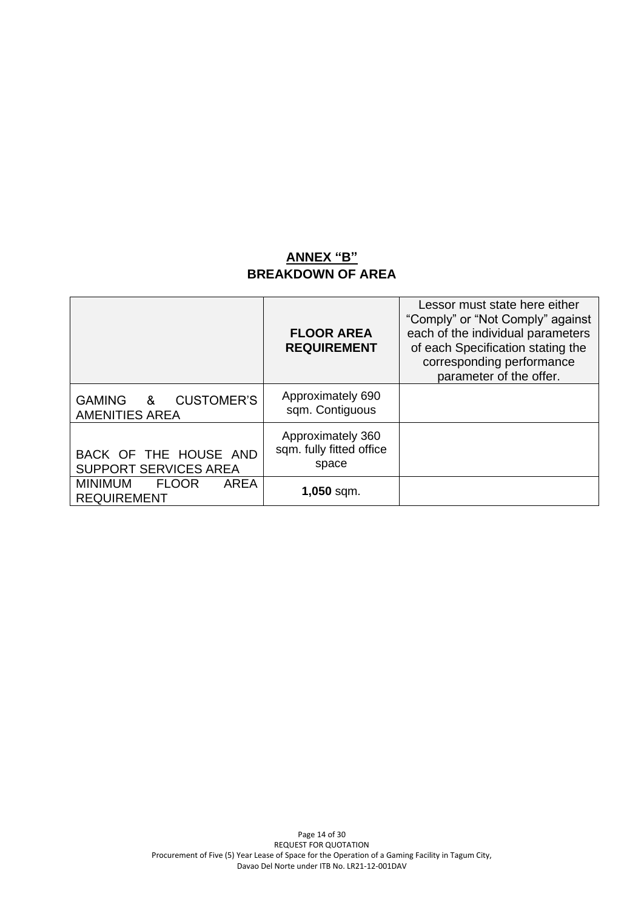### **ANNEX "B" BREAKDOWN OF AREA**

<span id="page-13-0"></span>

|                                                              | <b>FLOOR AREA</b><br><b>REQUIREMENT</b>                | Lessor must state here either<br>"Comply" or "Not Comply" against<br>each of the individual parameters<br>of each Specification stating the<br>corresponding performance<br>parameter of the offer. |
|--------------------------------------------------------------|--------------------------------------------------------|-----------------------------------------------------------------------------------------------------------------------------------------------------------------------------------------------------|
| <b>CUSTOMER'S</b><br>GAMING<br>&<br><b>AMENITIES AREA</b>    | Approximately 690<br>sqm. Contiguous                   |                                                                                                                                                                                                     |
| BACK OF THE HOUSE AND<br><b>SUPPORT SERVICES AREA</b>        | Approximately 360<br>sqm. fully fitted office<br>space |                                                                                                                                                                                                     |
| <b>MINIMUM</b><br><b>FLOOR</b><br>AREA<br><b>REQUIREMENT</b> | $1,050$ sqm.                                           |                                                                                                                                                                                                     |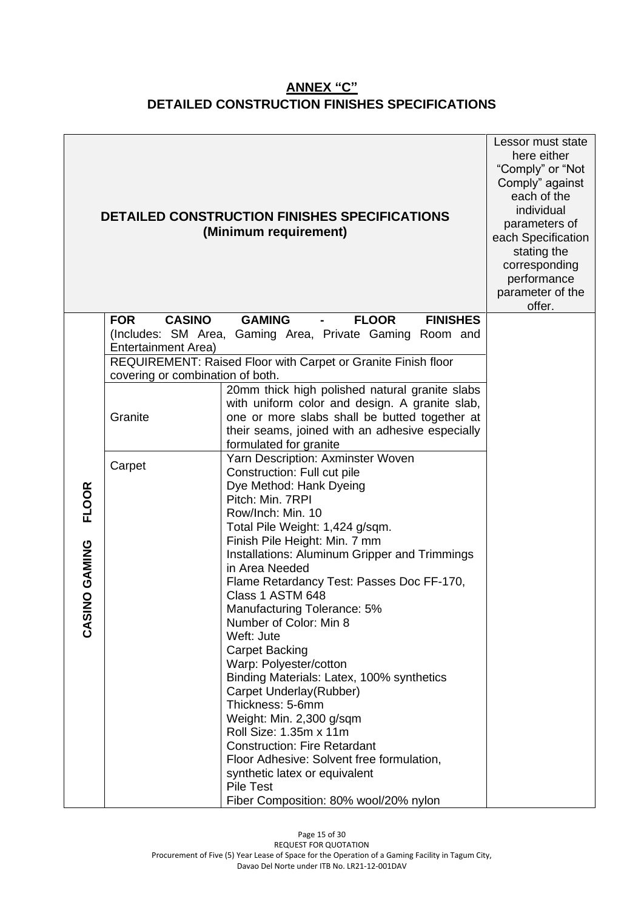## **[ANNEX "C"](#page-13-0) DETAILED CONSTRUCTION FINISHES SPECIFICATIONS**

|                               |                                                    | DETAILED CONSTRUCTION FINISHES SPECIFICATIONS<br>(Minimum requirement)                                                                                                                                                                                                                                                                                                                                                                                                                                                                                                                                                                                                                                                                                                                                     | Lessor must state<br>here either<br>"Comply" or "Not<br>Comply" against<br>each of the<br>individual<br>parameters of<br>each Specification<br>stating the<br>corresponding<br>performance<br>parameter of the<br>offer. |
|-------------------------------|----------------------------------------------------|------------------------------------------------------------------------------------------------------------------------------------------------------------------------------------------------------------------------------------------------------------------------------------------------------------------------------------------------------------------------------------------------------------------------------------------------------------------------------------------------------------------------------------------------------------------------------------------------------------------------------------------------------------------------------------------------------------------------------------------------------------------------------------------------------------|--------------------------------------------------------------------------------------------------------------------------------------------------------------------------------------------------------------------------|
|                               | <b>CASINO</b><br><b>FOR</b><br>Entertainment Area) | <b>GAMING</b><br><b>FLOOR</b><br><b>FINISHES</b><br>(Includes: SM Area, Gaming Area, Private Gaming Room and                                                                                                                                                                                                                                                                                                                                                                                                                                                                                                                                                                                                                                                                                               |                                                                                                                                                                                                                          |
|                               | covering or combination of both.                   | REQUIREMENT: Raised Floor with Carpet or Granite Finish floor                                                                                                                                                                                                                                                                                                                                                                                                                                                                                                                                                                                                                                                                                                                                              |                                                                                                                                                                                                                          |
|                               | Granite                                            | 20mm thick high polished natural granite slabs<br>with uniform color and design. A granite slab,<br>one or more slabs shall be butted together at<br>their seams, joined with an adhesive especially<br>formulated for granite                                                                                                                                                                                                                                                                                                                                                                                                                                                                                                                                                                             |                                                                                                                                                                                                                          |
| <b>FLOOR</b><br>CASINO GAMING | Carpet                                             | Yarn Description: Axminster Woven<br>Construction: Full cut pile<br>Dye Method: Hank Dyeing<br>Pitch: Min. 7RPI<br>Row/Inch: Min. 10<br>Total Pile Weight: 1,424 g/sqm.<br>Finish Pile Height: Min. 7 mm<br>Installations: Aluminum Gripper and Trimmings<br>in Area Needed<br>Flame Retardancy Test: Passes Doc FF-170,<br>Class 1 ASTM 648<br>Manufacturing Tolerance: 5%<br>Number of Color: Min 8<br>Weft: Jute<br><b>Carpet Backing</b><br>Warp: Polyester/cotton<br>Binding Materials: Latex, 100% synthetics<br>Carpet Underlay(Rubber)<br>Thickness: 5-6mm<br>Weight: Min. 2,300 g/sqm<br>Roll Size: 1.35m x 11m<br><b>Construction: Fire Retardant</b><br>Floor Adhesive: Solvent free formulation,<br>synthetic latex or equivalent<br><b>Pile Test</b><br>Fiber Composition: 80% wool/20% nylon |                                                                                                                                                                                                                          |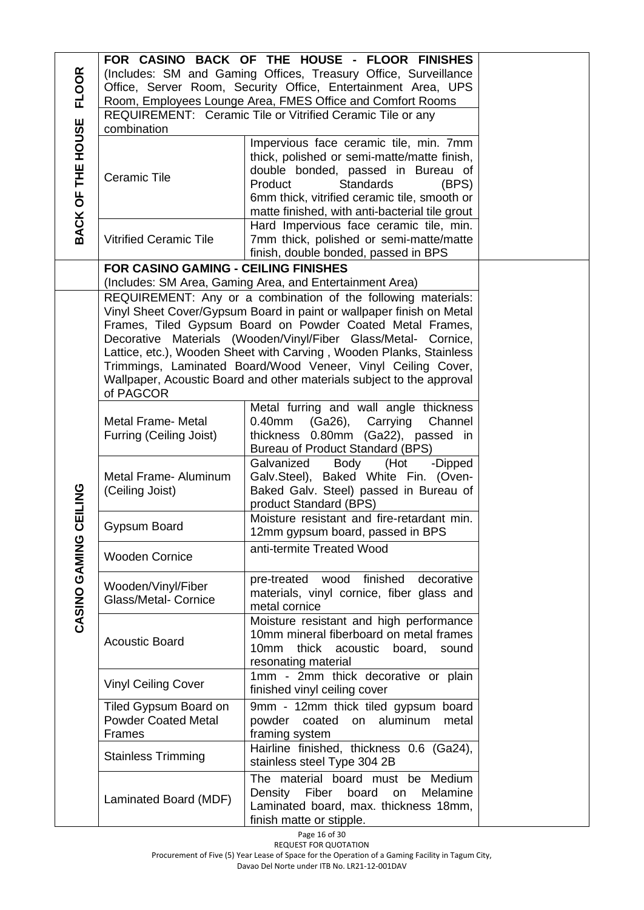|                   |                                                                 | FOR CASINO BACK OF THE HOUSE - FLOOR FINISHES                                                                                         |  |  |
|-------------------|-----------------------------------------------------------------|---------------------------------------------------------------------------------------------------------------------------------------|--|--|
| <b>FLOOR</b>      | (Includes: SM and Gaming Offices, Treasury Office, Surveillance |                                                                                                                                       |  |  |
|                   |                                                                 | Office, Server Room, Security Office, Entertainment Area, UPS                                                                         |  |  |
|                   |                                                                 | Room, Employees Lounge Area, FMES Office and Comfort Rooms                                                                            |  |  |
|                   |                                                                 | REQUIREMENT: Ceramic Tile or Vitrified Ceramic Tile or any                                                                            |  |  |
|                   | combination                                                     |                                                                                                                                       |  |  |
|                   |                                                                 | Impervious face ceramic tile, min. 7mm                                                                                                |  |  |
|                   |                                                                 | thick, polished or semi-matte/matte finish,<br>double bonded, passed in Bureau of                                                     |  |  |
|                   | <b>Ceramic Tile</b>                                             | Product<br><b>Standards</b><br>(BPS)                                                                                                  |  |  |
|                   |                                                                 | 6mm thick, vitrified ceramic tile, smooth or                                                                                          |  |  |
|                   |                                                                 | matte finished, with anti-bacterial tile grout                                                                                        |  |  |
| BACK OF THE HOUSE |                                                                 | Hard Impervious face ceramic tile, min.                                                                                               |  |  |
|                   | <b>Vitrified Ceramic Tile</b>                                   | 7mm thick, polished or semi-matte/matte                                                                                               |  |  |
|                   |                                                                 | finish, double bonded, passed in BPS                                                                                                  |  |  |
|                   | <b>FOR CASINO GAMING - CEILING FINISHES</b>                     |                                                                                                                                       |  |  |
|                   |                                                                 | (Includes: SM Area, Gaming Area, and Entertainment Area)                                                                              |  |  |
|                   |                                                                 | REQUIREMENT: Any or a combination of the following materials:                                                                         |  |  |
|                   |                                                                 | Vinyl Sheet Cover/Gypsum Board in paint or wallpaper finish on Metal                                                                  |  |  |
|                   |                                                                 | Frames, Tiled Gypsum Board on Powder Coated Metal Frames,                                                                             |  |  |
|                   |                                                                 | Decorative Materials (Wooden/Vinyl/Fiber Glass/Metal- Cornice,<br>Lattice, etc.), Wooden Sheet with Carving, Wooden Planks, Stainless |  |  |
|                   |                                                                 | Trimmings, Laminated Board/Wood Veneer, Vinyl Ceiling Cover,                                                                          |  |  |
|                   |                                                                 | Wallpaper, Acoustic Board and other materials subject to the approval                                                                 |  |  |
|                   | of PAGCOR                                                       |                                                                                                                                       |  |  |
|                   |                                                                 | Metal furring and wall angle thickness                                                                                                |  |  |
|                   | <b>Metal Frame- Metal</b>                                       | 0.40mm (Ga26), Carrying<br>Channel                                                                                                    |  |  |
|                   | Furring (Ceiling Joist)                                         | thickness 0.80mm (Ga22), passed in                                                                                                    |  |  |
|                   |                                                                 | Bureau of Product Standard (BPS)                                                                                                      |  |  |
|                   |                                                                 | Galvanized<br>Body<br>(Hot<br>-Dipped                                                                                                 |  |  |
|                   | Metal Frame- Aluminum                                           | Galv.Steel), Baked White Fin. (Oven-                                                                                                  |  |  |
|                   | (Ceiling Joist)                                                 | Baked Galv. Steel) passed in Bureau of<br>product Standard (BPS)                                                                      |  |  |
| CEILING           |                                                                 | Moisture resistant and fire-retardant min.                                                                                            |  |  |
|                   | Gypsum Board                                                    | 12mm gypsum board, passed in BPS                                                                                                      |  |  |
| CASINO GAMING     |                                                                 | anti-termite Treated Wood                                                                                                             |  |  |
|                   | <b>Wooden Cornice</b>                                           |                                                                                                                                       |  |  |
|                   | Wooden/Vinyl/Fiber                                              | finished<br>wood<br>decorative<br>pre-treated                                                                                         |  |  |
|                   | <b>Glass/Metal- Cornice</b>                                     | materials, vinyl cornice, fiber glass and                                                                                             |  |  |
|                   |                                                                 | metal cornice                                                                                                                         |  |  |
|                   |                                                                 | Moisture resistant and high performance                                                                                               |  |  |
|                   | <b>Acoustic Board</b>                                           | 10mm mineral fiberboard on metal frames                                                                                               |  |  |
|                   |                                                                 | thick acoustic<br>10mm<br>board,<br>sound<br>resonating material                                                                      |  |  |
|                   |                                                                 | 1mm - 2mm thick decorative or plain                                                                                                   |  |  |
|                   | <b>Vinyl Ceiling Cover</b>                                      | finished vinyl ceiling cover                                                                                                          |  |  |
|                   | Tiled Gypsum Board on                                           | 9mm - 12mm thick tiled gypsum board                                                                                                   |  |  |
|                   | <b>Powder Coated Metal</b>                                      | coated<br>aluminum<br>powder<br>metal<br>on                                                                                           |  |  |
|                   | Frames                                                          | framing system                                                                                                                        |  |  |
|                   |                                                                 | Hairline finished, thickness 0.6 (Ga24),                                                                                              |  |  |
|                   | <b>Stainless Trimming</b>                                       | stainless steel Type 304 2B                                                                                                           |  |  |
|                   |                                                                 | The material board must be Medium                                                                                                     |  |  |
|                   | Laminated Board (MDF)                                           | Density Fiber board<br>Melamine<br>on                                                                                                 |  |  |
|                   |                                                                 | Laminated board, max. thickness 18mm,                                                                                                 |  |  |
|                   |                                                                 | finish matte or stipple.                                                                                                              |  |  |

Page 16 of 30

REQUEST FOR QUOTATION Procurement of Five (5) Year Lease of Space for the Operation of a Gaming Facility in Tagum City,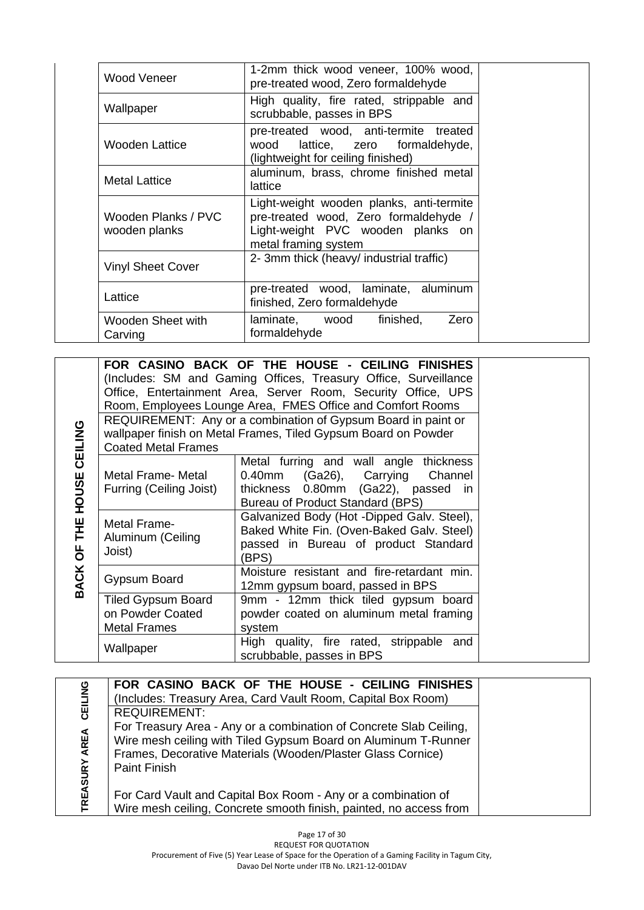| Wood Veneer                          | 1-2mm thick wood veneer, 100% wood,<br>pre-treated wood, Zero formaldehyde                                                                     |  |
|--------------------------------------|------------------------------------------------------------------------------------------------------------------------------------------------|--|
| Wallpaper                            | High quality, fire rated, strippable and<br>scrubbable, passes in BPS                                                                          |  |
| Wooden Lattice                       | pre-treated wood, anti-termite treated<br>lattice, zero formaldehyde,<br>wood<br>(lightweight for ceiling finished)                            |  |
| <b>Metal Lattice</b>                 | aluminum, brass, chrome finished metal<br>lattice                                                                                              |  |
| Wooden Planks / PVC<br>wooden planks | Light-weight wooden planks, anti-termite<br>pre-treated wood, Zero formaldehyde /<br>Light-weight PVC wooden planks on<br>metal framing system |  |
| <b>Vinyl Sheet Cover</b>             | 2- 3mm thick (heavy/ industrial traffic)                                                                                                       |  |
| Lattice                              | pre-treated wood, laminate, aluminum<br>finished, Zero formaldehyde                                                                            |  |
| Wooden Sheet with<br>Carving         | laminate, wood<br>finished,<br>Zero<br>formaldehyde                                                                                            |  |

| CEILING               |                                                                             | FOR CASINO BACK OF THE HOUSE - CEILING FINISHES<br>(Includes: SM and Gaming Offices, Treasury Office, Surveillance<br>Office, Entertainment Area, Server Room, Security Office, UPS<br>Room, Employees Lounge Area, FMES Office and Comfort Rooms<br>REQUIREMENT: Any or a combination of Gypsum Board in paint or<br>wallpaper finish on Metal Frames, Tiled Gypsum Board on Powder |
|-----------------------|-----------------------------------------------------------------------------|--------------------------------------------------------------------------------------------------------------------------------------------------------------------------------------------------------------------------------------------------------------------------------------------------------------------------------------------------------------------------------------|
| HOUSE                 | <b>Coated Metal Frames</b><br>Metal Frame- Metal<br>Furring (Ceiling Joist) | Metal furring and wall angle thickness<br>0.40mm (Ga26), Carrying<br>Channel<br>thickness 0.80mm (Ga22), passed in<br>Bureau of Product Standard (BPS)                                                                                                                                                                                                                               |
| THE<br><b>BACK OF</b> | Metal Frame-<br>Aluminum (Ceiling<br>Joist)                                 | Galvanized Body (Hot -Dipped Galv. Steel),<br>Baked White Fin. (Oven-Baked Galv. Steel)<br>passed in Bureau of product Standard<br>(BPS)                                                                                                                                                                                                                                             |
|                       | Gypsum Board                                                                | Moisture resistant and fire-retardant min.<br>12mm gypsum board, passed in BPS                                                                                                                                                                                                                                                                                                       |
|                       | <b>Tiled Gypsum Board</b><br>on Powder Coated<br><b>Metal Frames</b>        | 9mm - 12mm thick tiled gypsum board<br>powder coated on aluminum metal framing<br>system                                                                                                                                                                                                                                                                                             |
|                       | Wallpaper                                                                   | High quality, fire rated, strippable and<br>scrubbable, passes in BPS                                                                                                                                                                                                                                                                                                                |

| CEILING              | FOR CASINO BACK OF THE HOUSE - CEILING FINISHES<br>(Includes: Treasury Area, Card Vault Room, Capital Box Room)                                                                                                                                   |  |
|----------------------|---------------------------------------------------------------------------------------------------------------------------------------------------------------------------------------------------------------------------------------------------|--|
| <b>TREASURY AREA</b> | <b>REQUIREMENT:</b><br>For Treasury Area - Any or a combination of Concrete Slab Ceiling,<br>Wire mesh ceiling with Tiled Gypsum Board on Aluminum T-Runner<br>Frames, Decorative Materials (Wooden/Plaster Glass Cornice)<br><b>Paint Finish</b> |  |
|                      | For Card Vault and Capital Box Room - Any or a combination of<br>Wire mesh ceiling, Concrete smooth finish, painted, no access from                                                                                                               |  |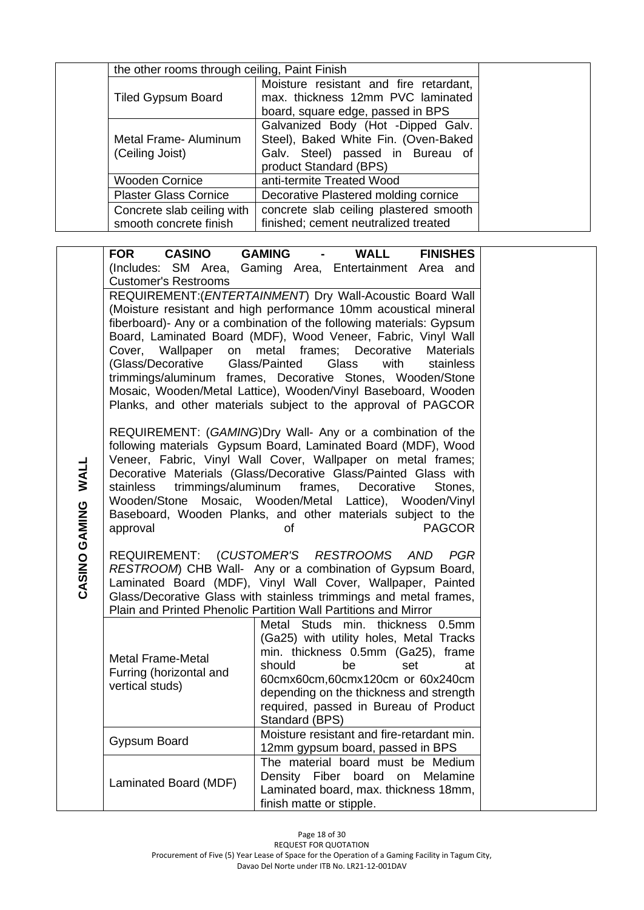| the other rooms through ceiling, Paint Finish |                                                                             |
|-----------------------------------------------|-----------------------------------------------------------------------------|
| <b>Tiled Gypsum Board</b>                     | Moisture resistant and fire retardant,<br>max. thickness 12mm PVC laminated |
|                                               | board, square edge, passed in BPS                                           |
|                                               | Galvanized Body (Hot -Dipped Galv.                                          |
| Metal Frame- Aluminum                         | Steel), Baked White Fin. (Oven-Baked                                        |
| (Ceiling Joist)                               | Galv. Steel) passed in Bureau of<br>product Standard (BPS)                  |
| <b>Wooden Cornice</b>                         | anti-termite Treated Wood                                                   |
| <b>Plaster Glass Cornice</b>                  | Decorative Plastered molding cornice                                        |
| Concrete slab ceiling with                    | concrete slab ceiling plastered smooth                                      |
| smooth concrete finish                        | finished; cement neutralized treated                                        |

|                    | <b>CASINO</b><br><b>FOR</b> | <b>GAMING</b><br><b>WALL</b>                                                                                                          | <b>FINISHES</b>  |
|--------------------|-----------------------------|---------------------------------------------------------------------------------------------------------------------------------------|------------------|
|                    |                             | (Includes: SM Area, Gaming Area, Entertainment Area and                                                                               |                  |
|                    | <b>Customer's Restrooms</b> |                                                                                                                                       |                  |
|                    |                             | REQUIREMENT: (ENTERTAINMENT) Dry Wall-Acoustic Board Wall                                                                             |                  |
|                    |                             | (Moisture resistant and high performance 10mm acoustical mineral                                                                      |                  |
|                    |                             | fiberboard)- Any or a combination of the following materials: Gypsum<br>Board, Laminated Board (MDF), Wood Veneer, Fabric, Vinyl Wall |                  |
|                    | Cover, Wallpaper            | on metal frames; Decorative                                                                                                           | <b>Materials</b> |
|                    | (Glass/Decorative           | Glass/Painted<br>Glass<br>with                                                                                                        | stainless        |
|                    |                             | trimmings/aluminum frames, Decorative Stones, Wooden/Stone                                                                            |                  |
|                    |                             | Mosaic, Wooden/Metal Lattice), Wooden/Vinyl Baseboard, Wooden                                                                         |                  |
|                    |                             | Planks, and other materials subject to the approval of PAGCOR                                                                         |                  |
|                    |                             |                                                                                                                                       |                  |
|                    |                             | REQUIREMENT: (GAMING)Dry Wall- Any or a combination of the<br>following materials Gypsum Board, Laminated Board (MDF), Wood           |                  |
|                    |                             | Veneer, Fabric, Vinyl Wall Cover, Wallpaper on metal frames;                                                                          |                  |
|                    |                             | Decorative Materials (Glass/Decorative Glass/Painted Glass with                                                                       |                  |
|                    | stainless                   | trimmings/aluminum frames,<br>Decorative                                                                                              | Stones.          |
|                    |                             | Wooden/Stone Mosaic, Wooden/Metal Lattice), Wooden/Vinyl                                                                              |                  |
|                    |                             | Baseboard, Wooden Planks, and other materials subject to the                                                                          |                  |
|                    | approval                    | of                                                                                                                                    | <b>PAGCOR</b>    |
| CASINO GAMING WALL |                             | REQUIREMENT: (CUSTOMER'S RESTROOMS AND                                                                                                | PGR              |
|                    |                             | RESTROOM) CHB Wall- Any or a combination of Gypsum Board,                                                                             |                  |
|                    |                             | Laminated Board (MDF), Vinyl Wall Cover, Wallpaper, Painted                                                                           |                  |
|                    |                             | Glass/Decorative Glass with stainless trimmings and metal frames,                                                                     |                  |
|                    |                             | Plain and Printed Phenolic Partition Wall Partitions and Mirror                                                                       |                  |
|                    |                             | Studs min. thickness 0.5mm<br>Metal                                                                                                   |                  |
|                    |                             | (Ga25) with utility holes, Metal Tracks<br>min. thickness 0.5mm (Ga25), frame                                                         |                  |
|                    | <b>Metal Frame-Metal</b>    | should<br>be<br>set                                                                                                                   | at               |
|                    | Furring (horizontal and     | 60cmx60cm,60cmx120cm or 60x240cm                                                                                                      |                  |
|                    | vertical studs)             | depending on the thickness and strength                                                                                               |                  |
|                    |                             | required, passed in Bureau of Product                                                                                                 |                  |
|                    |                             | Standard (BPS)                                                                                                                        |                  |
|                    | Gypsum Board                | Moisture resistant and fire-retardant min.                                                                                            |                  |
|                    |                             | 12mm gypsum board, passed in BPS<br>The material board must be Medium                                                                 |                  |
|                    |                             | Density Fiber board on Melamine                                                                                                       |                  |
|                    | Laminated Board (MDF)       | Laminated board, max. thickness 18mm,                                                                                                 |                  |
|                    |                             | finish matte or stipple.                                                                                                              |                  |
|                    |                             |                                                                                                                                       |                  |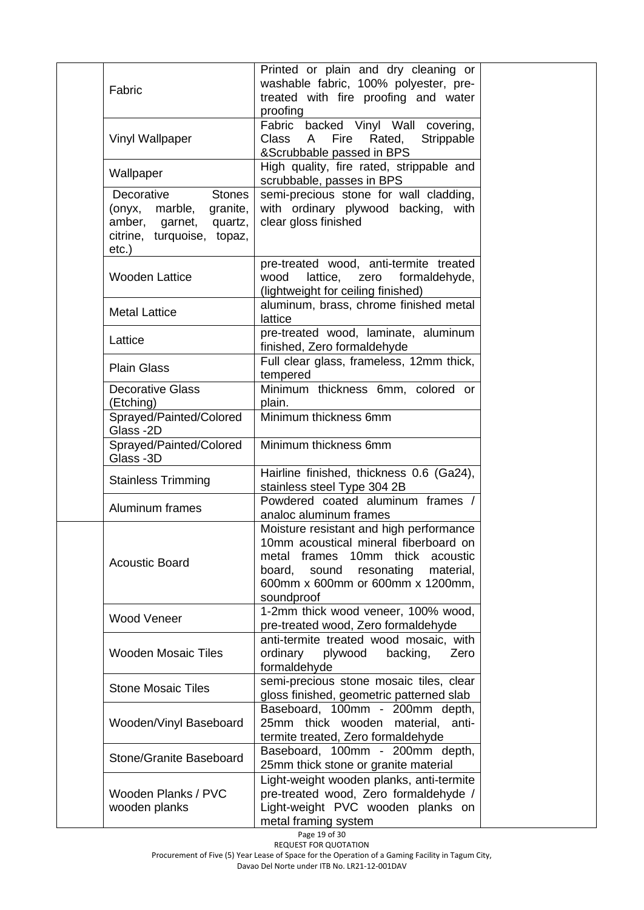| Fabric                                                                                                                        | Printed or plain and dry cleaning or<br>washable fabric, 100% polyester, pre-<br>treated with fire proofing and water<br>proofing                                                                                    |
|-------------------------------------------------------------------------------------------------------------------------------|----------------------------------------------------------------------------------------------------------------------------------------------------------------------------------------------------------------------|
| Vinyl Wallpaper                                                                                                               | Fabric backed Vinyl Wall covering,<br>Fire<br>Class<br>$\mathsf{A}$<br>Rated,<br>Strippable<br>&Scrubbable passed in BPS                                                                                             |
| Wallpaper                                                                                                                     | High quality, fire rated, strippable and<br>scrubbable, passes in BPS                                                                                                                                                |
| Decorative<br><b>Stones</b><br>granite,<br>(onyx, marble,<br>amber, garnet,<br>quartz,<br>citrine, turquoise, topaz,<br>etc.) | semi-precious stone for wall cladding,<br>with ordinary plywood backing, with<br>clear gloss finished                                                                                                                |
| <b>Wooden Lattice</b>                                                                                                         | pre-treated wood, anti-termite treated<br>lattice,<br>wood<br>zero<br>formaldehyde,<br>(lightweight for ceiling finished)                                                                                            |
| <b>Metal Lattice</b>                                                                                                          | aluminum, brass, chrome finished metal<br>lattice                                                                                                                                                                    |
| Lattice                                                                                                                       | pre-treated wood, laminate, aluminum<br>finished, Zero formaldehyde                                                                                                                                                  |
| <b>Plain Glass</b>                                                                                                            | Full clear glass, frameless, 12mm thick,<br>tempered                                                                                                                                                                 |
| <b>Decorative Glass</b><br>(Etching)                                                                                          | Minimum thickness 6mm, colored or<br>plain.                                                                                                                                                                          |
| Sprayed/Painted/Colored<br>Glass-2D                                                                                           | Minimum thickness 6mm                                                                                                                                                                                                |
| Sprayed/Painted/Colored<br>Glass -3D                                                                                          | Minimum thickness 6mm                                                                                                                                                                                                |
| <b>Stainless Trimming</b>                                                                                                     | Hairline finished, thickness 0.6 (Ga24),<br>stainless steel Type 304 2B                                                                                                                                              |
| Aluminum frames                                                                                                               | Powdered coated aluminum frames /<br>analoc aluminum frames                                                                                                                                                          |
| <b>Acoustic Board</b>                                                                                                         | Moisture resistant and high performance<br>10mm acoustical mineral fiberboard on<br>metal frames 10mm thick acoustic<br>resonating<br>sound<br>material,<br>board.<br>600mm x 600mm or 600mm x 1200mm,<br>soundproof |
| <b>Wood Veneer</b>                                                                                                            | 1-2mm thick wood veneer, 100% wood,<br>pre-treated wood, Zero formaldehyde                                                                                                                                           |
| <b>Wooden Mosaic Tiles</b>                                                                                                    | anti-termite treated wood mosaic, with<br>backing,<br>ordinary<br>plywood<br>Zero<br>formaldehyde                                                                                                                    |
| <b>Stone Mosaic Tiles</b>                                                                                                     | semi-precious stone mosaic tiles, clear<br>gloss finished, geometric patterned slab                                                                                                                                  |
| Wooden/Vinyl Baseboard                                                                                                        | Baseboard, 100mm - 200mm depth,<br>25mm thick wooden material, anti-<br>termite treated, Zero formaldehyde                                                                                                           |
| Stone/Granite Baseboard                                                                                                       | Baseboard, 100mm - 200mm depth,<br>25mm thick stone or granite material                                                                                                                                              |
| Wooden Planks / PVC<br>wooden planks                                                                                          | Light-weight wooden planks, anti-termite<br>pre-treated wood, Zero formaldehyde /<br>Light-weight PVC wooden planks on<br>metal framing system                                                                       |

Page 19 of 30

REQUEST FOR QUOTATION Procurement of Five (5) Year Lease of Space for the Operation of a Gaming Facility in Tagum City,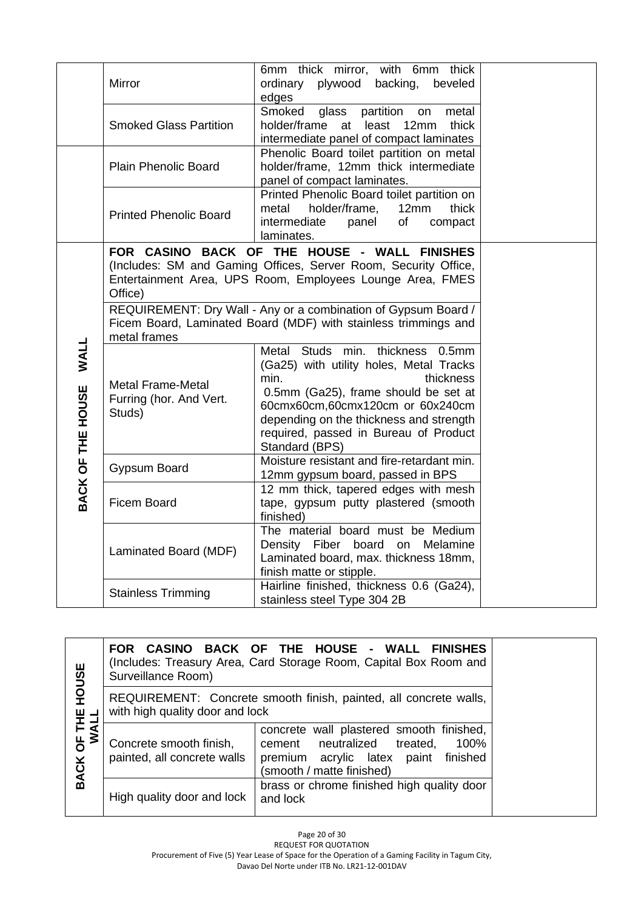|                                  | Mirror                                                                                                                                            | 6mm thick mirror, with 6mm thick<br>ordinary plywood backing,<br>beveled<br>edges                                                                                                                                                                                                  |  |
|----------------------------------|---------------------------------------------------------------------------------------------------------------------------------------------------|------------------------------------------------------------------------------------------------------------------------------------------------------------------------------------------------------------------------------------------------------------------------------------|--|
|                                  | <b>Smoked Glass Partition</b>                                                                                                                     | Smoked<br>glass partition<br>metal<br>on<br>holder/frame at least 12mm thick<br>intermediate panel of compact laminates                                                                                                                                                            |  |
|                                  | <b>Plain Phenolic Board</b>                                                                                                                       | Phenolic Board toilet partition on metal<br>holder/frame, 12mm thick intermediate<br>panel of compact laminates.                                                                                                                                                                   |  |
|                                  | <b>Printed Phenolic Board</b>                                                                                                                     | Printed Phenolic Board toilet partition on<br>12mm<br>metal<br>holder/frame,<br>thick<br>intermediate<br>of<br>panel<br>compact<br>laminates.                                                                                                                                      |  |
|                                  | Office)                                                                                                                                           | FOR CASINO BACK OF THE HOUSE - WALL FINISHES<br>(Includes: SM and Gaming Offices, Server Room, Security Office,<br>Entertainment Area, UPS Room, Employees Lounge Area, FMES                                                                                                       |  |
|                                  | REQUIREMENT: Dry Wall - Any or a combination of Gypsum Board /<br>Ficem Board, Laminated Board (MDF) with stainless trimmings and<br>metal frames |                                                                                                                                                                                                                                                                                    |  |
| <b>WALL</b><br>BACK OF THE HOUSE | <b>Metal Frame-Metal</b><br>Furring (hor. And Vert.<br>Studs)                                                                                     | Metal Studs min, thickness 0.5mm<br>(Ga25) with utility holes, Metal Tracks<br>min.<br>thickness<br>0.5mm (Ga25), frame should be set at<br>60cmx60cm,60cmx120cm or 60x240cm<br>depending on the thickness and strength<br>required, passed in Bureau of Product<br>Standard (BPS) |  |
|                                  | Gypsum Board                                                                                                                                      | Moisture resistant and fire-retardant min.<br>12mm gypsum board, passed in BPS                                                                                                                                                                                                     |  |
|                                  | <b>Ficem Board</b>                                                                                                                                | 12 mm thick, tapered edges with mesh<br>tape, gypsum putty plastered (smooth<br>finished)                                                                                                                                                                                          |  |
|                                  | Laminated Board (MDF)                                                                                                                             | The material board must be Medium<br>Density Fiber board on Melamine<br>Laminated board, max. thickness 18mm,<br>finish matte or stipple.                                                                                                                                          |  |
|                                  | <b>Stainless Trimming</b>                                                                                                                         | Hairline finished, thickness 0.6 (Ga24),<br>stainless steel Type 304 2B                                                                                                                                                                                                            |  |

| <b>HOUSE</b>                  | Surveillance Room)                                     | FOR CASINO BACK OF THE HOUSE - WALL FINISHES<br>(Includes: Treasury Area, Card Storage Room, Capital Box Room and                                       |
|-------------------------------|--------------------------------------------------------|---------------------------------------------------------------------------------------------------------------------------------------------------------|
|                               | with high quality door and lock                        | REQUIREMENT: Concrete smooth finish, painted, all concrete walls,                                                                                       |
| OF THE<br>WALL<br><b>BACK</b> | Concrete smooth finish,<br>painted, all concrete walls | concrete wall plastered smooth finished,<br>cement neutralized<br>treated,<br>100%<br>premium acrylic latex paint finished<br>(smooth / matte finished) |
|                               | High quality door and lock                             | brass or chrome finished high quality door<br>and lock                                                                                                  |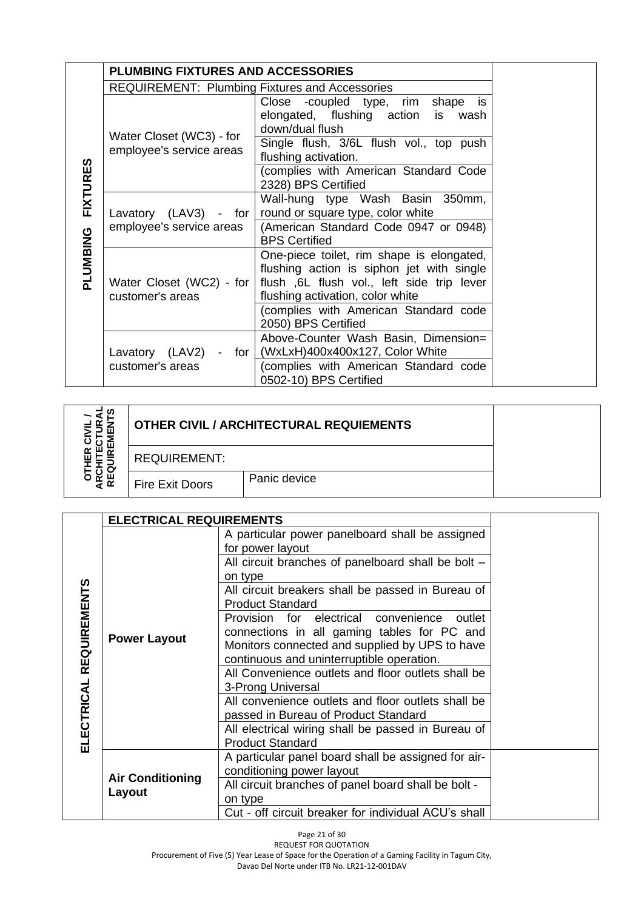|                 | <b>PLUMBING FIXTURES AND ACCESSORIES</b>              |                                                                                                                                                                          |  |
|-----------------|-------------------------------------------------------|--------------------------------------------------------------------------------------------------------------------------------------------------------------------------|--|
|                 | <b>REQUIREMENT: Plumbing Fixtures and Accessories</b> |                                                                                                                                                                          |  |
|                 |                                                       | Close -coupled type,<br>rim shape is<br>elongated, flushing action is wash<br>down/dual flush                                                                            |  |
|                 | Water Closet (WC3) - for<br>employee's service areas  | Single flush, 3/6L flush vol., top push<br>flushing activation.                                                                                                          |  |
| <b>FIXTURES</b> |                                                       | (complies with American Standard Code<br>2328) BPS Certified                                                                                                             |  |
|                 | Lavatory $(LAV3)$ - for                               | Wall-hung type Wash Basin 350mm,<br>round or square type, color white                                                                                                    |  |
| PLUMBING        | employee's service areas                              | (American Standard Code 0947 or 0948)<br><b>BPS Certified</b>                                                                                                            |  |
|                 | Water Closet (WC2) - for<br>customer's areas          | One-piece toilet, rim shape is elongated,<br>flushing action is siphon jet with single<br>flush, 6L flush vol., left side trip lever<br>flushing activation, color white |  |
|                 |                                                       | (complies with American Standard code<br>2050) BPS Certified                                                                                                             |  |
|                 | Lavatory (LAV2)<br>- for                              | Above-Counter Wash Basin, Dimension=<br>(WxLxH)400x400x127, Color White                                                                                                  |  |
|                 | customer's areas                                      | (complies with American Standard code<br>0502-10) BPS Certified                                                                                                          |  |

| m                    |                        | <b>OTHER CIVIL / ARCHITECTURAL REQUIEMENTS</b> |  |
|----------------------|------------------------|------------------------------------------------|--|
|                      | <b>REQUIREMENT:</b>    |                                                |  |
| ய<br>$\alpha$<br>≵ ∝ | <b>Fire Exit Doors</b> | Panic device                                   |  |

|                         | <b>ELECTRICAL REQUIREMENTS</b> |                                                                                                                                                                                              |  |
|-------------------------|--------------------------------|----------------------------------------------------------------------------------------------------------------------------------------------------------------------------------------------|--|
| ELECTRICAL REQUIREMENTS |                                | A particular power panelboard shall be assigned<br>for power layout<br>All circuit branches of panelboard shall be bolt -                                                                    |  |
|                         |                                | on type<br>All circuit breakers shall be passed in Bureau of<br><b>Product Standard</b>                                                                                                      |  |
|                         | <b>Power Layout</b>            | Provision for electrical convenience<br>outlet<br>connections in all gaming tables for PC and<br>Monitors connected and supplied by UPS to have<br>continuous and uninterruptible operation. |  |
|                         |                                | All Convenience outlets and floor outlets shall be<br>3-Prong Universal<br>All convenience outlets and floor outlets shall be                                                                |  |
|                         |                                | passed in Bureau of Product Standard                                                                                                                                                         |  |
|                         |                                | All electrical wiring shall be passed in Bureau of<br><b>Product Standard</b>                                                                                                                |  |
|                         | <b>Air Conditioning</b>        | A particular panel board shall be assigned for air-<br>conditioning power layout                                                                                                             |  |
|                         | Layout                         | All circuit branches of panel board shall be bolt -<br>on type                                                                                                                               |  |
|                         |                                | Cut - off circuit breaker for individual ACU's shall                                                                                                                                         |  |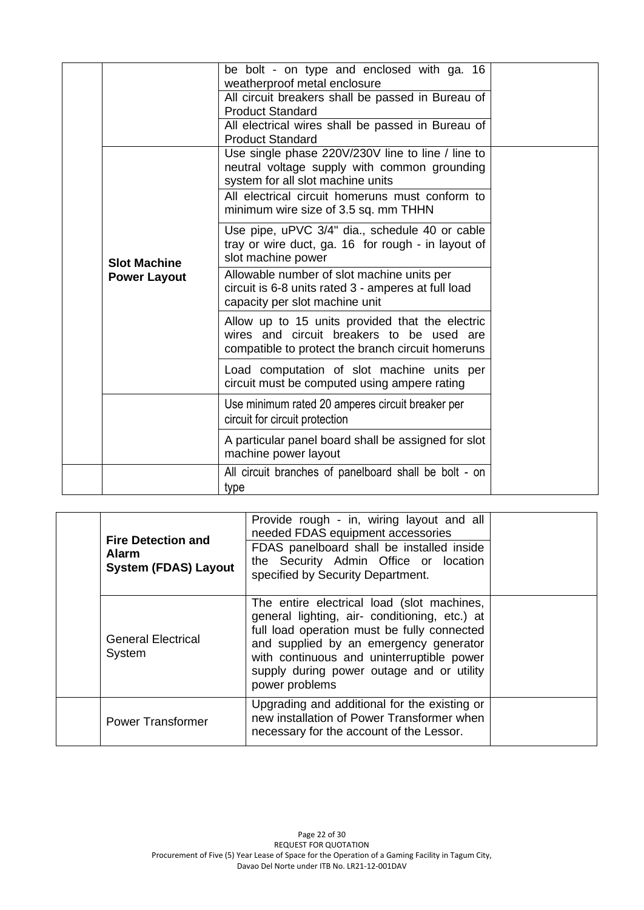|                     | be bolt - on type and enclosed with ga. 16<br>weatherproof metal enclosure                                                                        |  |
|---------------------|---------------------------------------------------------------------------------------------------------------------------------------------------|--|
|                     | All circuit breakers shall be passed in Bureau of<br><b>Product Standard</b>                                                                      |  |
|                     | All electrical wires shall be passed in Bureau of<br><b>Product Standard</b>                                                                      |  |
|                     | Use single phase 220V/230V line to line / line to<br>neutral voltage supply with common grounding<br>system for all slot machine units            |  |
|                     | All electrical circuit homeruns must conform to<br>minimum wire size of 3.5 sq. mm THHN                                                           |  |
| <b>Slot Machine</b> | Use pipe, uPVC 3/4" dia., schedule 40 or cable<br>tray or wire duct, ga. 16 for rough - in layout of<br>slot machine power                        |  |
| <b>Power Layout</b> | Allowable number of slot machine units per<br>circuit is 6-8 units rated 3 - amperes at full load<br>capacity per slot machine unit               |  |
|                     | Allow up to 15 units provided that the electric<br>wires and circuit breakers to be used are<br>compatible to protect the branch circuit homeruns |  |
|                     | Load computation of slot machine units per<br>circuit must be computed using ampere rating                                                        |  |
|                     | Use minimum rated 20 amperes circuit breaker per<br>circuit for circuit protection                                                                |  |
|                     | A particular panel board shall be assigned for slot<br>machine power layout                                                                       |  |
|                     | All circuit branches of panelboard shall be bolt - on<br>type                                                                                     |  |

| <b>Alarm</b> | <b>Fire Detection and</b><br><b>System (FDAS) Layout</b> | Provide rough - in, wiring layout and all<br>needed FDAS equipment accessories<br>FDAS panelboard shall be installed inside<br>the Security Admin Office or location<br>specified by Security Department.                                                                                        |  |
|--------------|----------------------------------------------------------|--------------------------------------------------------------------------------------------------------------------------------------------------------------------------------------------------------------------------------------------------------------------------------------------------|--|
| System       | <b>General Electrical</b>                                | The entire electrical load (slot machines,<br>general lighting, air- conditioning, etc.) at<br>full load operation must be fully connected<br>and supplied by an emergency generator<br>with continuous and uninterruptible power<br>supply during power outage and or utility<br>power problems |  |
|              | <b>Power Transformer</b>                                 | Upgrading and additional for the existing or<br>new installation of Power Transformer when<br>necessary for the account of the Lessor.                                                                                                                                                           |  |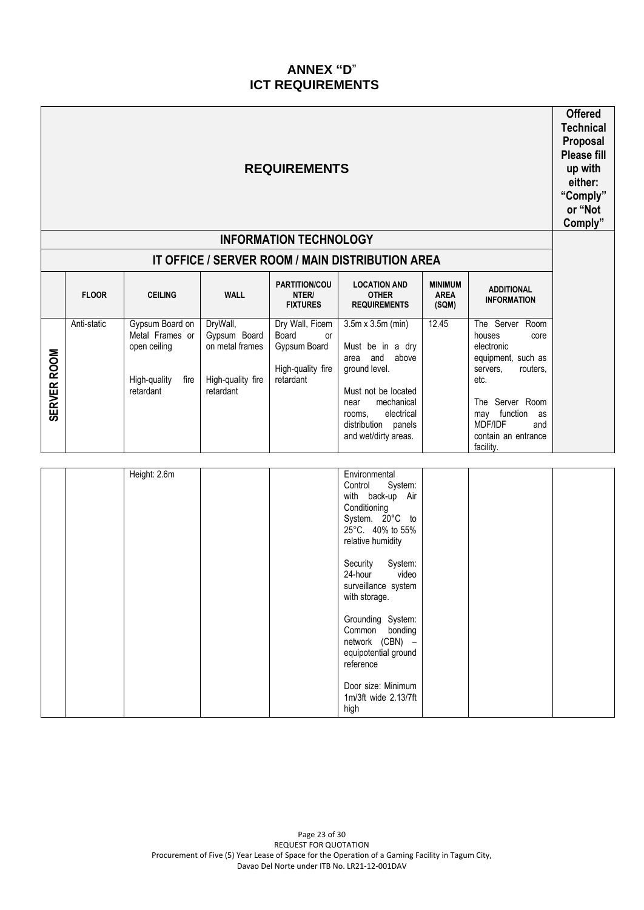## **ANNEX "D**" **ICT REQUIREMENTS**

| <b>REQUIREMENTS</b><br><b>INFORMATION TECHNOLOGY</b> |              |                                                                                           |                                                                               |                                                                                         |                                                                                                                                                                                                                                                                                                                                                                                |                                        | <b>Offered</b><br><b>Technical</b><br>Proposal<br>Please fill<br>up with<br>either:<br>"Comply"<br>or "Not<br>Comply"                                                                             |  |
|------------------------------------------------------|--------------|-------------------------------------------------------------------------------------------|-------------------------------------------------------------------------------|-----------------------------------------------------------------------------------------|--------------------------------------------------------------------------------------------------------------------------------------------------------------------------------------------------------------------------------------------------------------------------------------------------------------------------------------------------------------------------------|----------------------------------------|---------------------------------------------------------------------------------------------------------------------------------------------------------------------------------------------------|--|
|                                                      | <b>FLOOR</b> | <b>CEILING</b>                                                                            | <b>WALL</b>                                                                   | PARTITION/COU<br>NTER/<br><b>FIXTURES</b>                                               | IT OFFICE / SERVER ROOM / MAIN DISTRIBUTION AREA<br><b>LOCATION AND</b><br><b>OTHER</b><br><b>REQUIREMENTS</b>                                                                                                                                                                                                                                                                 | <b>MINIMUM</b><br><b>AREA</b><br>(SQM) | <b>ADDITIONAL</b><br><b>INFORMATION</b>                                                                                                                                                           |  |
| <b>SERVER ROOM</b>                                   | Anti-static  | Gypsum Board on<br>Metal Frames or<br>open ceiling<br>High-quality<br>fire  <br>retardant | DryWall,<br>Gypsum Board<br>on metal frames<br>High-quality fire<br>retardant | Dry Wall, Ficem<br>Board<br><b>or</b><br>Gypsum Board<br>High-quality fire<br>retardant | $3.5m \times 3.5m$ (min)<br>Must be in a dry<br>area and above<br>ground level.<br>Must not be located<br>mechanical<br>near<br>electrical<br>rooms,<br>distribution panels<br>and wet/dirty areas.                                                                                                                                                                            | 12.45                                  | The Server Room<br>houses<br>core<br>electronic<br>equipment, such as<br>servers,<br>routers,<br>etc.<br>The Server Room<br>may function as<br>MDF/IDF<br>and<br>contain an entrance<br>facility. |  |
|                                                      |              | Height: 2.6m                                                                              |                                                                               |                                                                                         | Environmental<br>Control<br>System:<br>with back-up Air<br>Conditioning<br>System. 20°C to<br>25°C. 40% to 55%<br>relative humidity<br>System:<br>Security<br>24-hour<br>video<br>surveillance system<br>with storage.<br>Grounding System:<br>Common<br>bonding<br>network (CBN) -<br>equipotential ground<br>reference<br>Door size: Minimum<br>1m/3ft wide 2.13/7ft<br>high |                                        |                                                                                                                                                                                                   |  |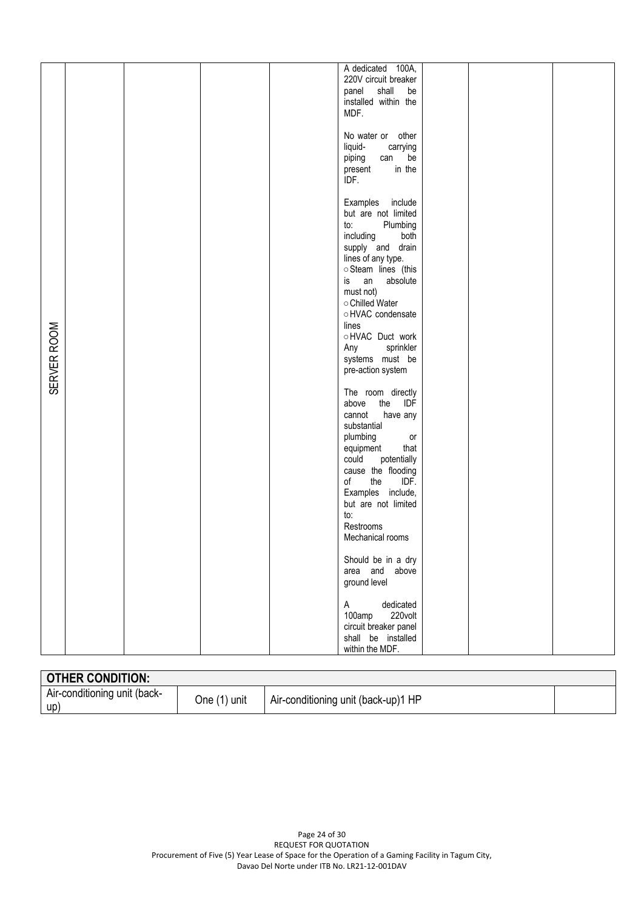|             |  |  | A dedicated 100A,<br>220V circuit breaker<br>shall<br>panel<br>be<br>installed within the<br>MDF.                                                                                                                                                                                                |  |  |
|-------------|--|--|--------------------------------------------------------------------------------------------------------------------------------------------------------------------------------------------------------------------------------------------------------------------------------------------------|--|--|
|             |  |  | No water or other<br>liquid-<br>carrying<br>be<br>piping<br>can<br>in the<br>present<br>IDF.                                                                                                                                                                                                     |  |  |
| SERVER ROOM |  |  | Examples include<br>but are not limited<br>Plumbing<br>to:<br>including<br>both<br>supply and drain<br>lines of any type.<br>Steam lines (this<br>an<br>absolute<br>is<br>must not)<br>○ Chilled Water<br>○ HVAC condensate<br>lines<br>OHVAC Duct work<br>sprinkler<br>Any<br>systems must be   |  |  |
|             |  |  | pre-action system<br>The room directly<br>the<br>above<br>IDF<br>cannot<br>have any<br>substantial<br>plumbing<br>or<br>that<br>equipment<br>could<br>potentially<br>cause the flooding<br>the<br>IDF.<br>of<br>Examples include,<br>but are not limited<br>to:<br>Restrooms<br>Mechanical rooms |  |  |
|             |  |  | Should be in a dry<br>area and above<br>ground level                                                                                                                                                                                                                                             |  |  |
|             |  |  | dedicated<br>$\mathsf{A}$<br>220volt<br>100amp<br>circuit breaker panel<br>shall be installed<br>within the MDF.                                                                                                                                                                                 |  |  |

| <b>OTHER CONDITION:</b>             |              |                                     |  |
|-------------------------------------|--------------|-------------------------------------|--|
| Air-conditioning unit (back-<br>up' | One (1) unit | Air-conditioning unit (back-up)1 HP |  |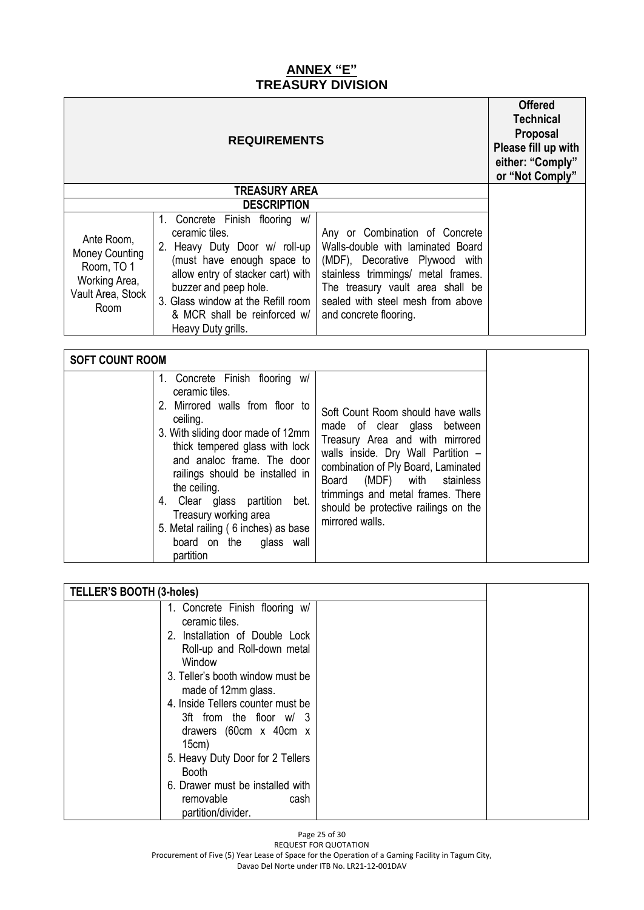### **ANNEX "E" TREASURY DIVISION**

|                                                                                                 | <b>Offered</b><br><b>Technical</b><br>Proposal<br>Please fill up with<br>either: "Comply"<br>or "Not Comply"                                                                                                                                                                 |                                                                                                                                                                                                                                                |  |  |  |
|-------------------------------------------------------------------------------------------------|------------------------------------------------------------------------------------------------------------------------------------------------------------------------------------------------------------------------------------------------------------------------------|------------------------------------------------------------------------------------------------------------------------------------------------------------------------------------------------------------------------------------------------|--|--|--|
|                                                                                                 | <b>TREASURY AREA</b>                                                                                                                                                                                                                                                         |                                                                                                                                                                                                                                                |  |  |  |
|                                                                                                 | <b>DESCRIPTION</b>                                                                                                                                                                                                                                                           |                                                                                                                                                                                                                                                |  |  |  |
| Ante Room,<br><b>Money Counting</b><br>Room, TO 1<br>Working Area,<br>Vault Area, Stock<br>Room | Concrete Finish flooring w/<br>1.<br>ceramic tiles.<br>2. Heavy Duty Door w/ roll-up<br>(must have enough space to<br>allow entry of stacker cart) with<br>buzzer and peep hole.<br>3. Glass window at the Refill room<br>& MCR shall be reinforced w/<br>Heavy Duty grills. | Any or Combination of Concrete<br>Walls-double with laminated Board<br>(MDF), Decorative Plywood with<br>stainless trimmings/ metal frames.<br>The treasury vault area shall be<br>sealed with steel mesh from above<br>and concrete flooring. |  |  |  |
|                                                                                                 |                                                                                                                                                                                                                                                                              |                                                                                                                                                                                                                                                |  |  |  |
| <b>SOFT COUNT ROOM</b>                                                                          |                                                                                                                                                                                                                                                                              |                                                                                                                                                                                                                                                |  |  |  |

| TELLER'S BOOTH (3-holes) |                                                                                                                                                                                                                                                                                                                                                                                                                              |  |
|--------------------------|------------------------------------------------------------------------------------------------------------------------------------------------------------------------------------------------------------------------------------------------------------------------------------------------------------------------------------------------------------------------------------------------------------------------------|--|
|                          | 1. Concrete Finish flooring w/<br>ceramic tiles.<br>2. Installation of Double Lock<br>Roll-up and Roll-down metal<br>Window<br>3. Teller's booth window must be<br>made of 12mm glass.<br>4. Inside Tellers counter must be<br>3ft from the floor w/ 3<br>drawers (60cm x 40cm x<br>15cm)<br>5. Heavy Duty Door for 2 Tellers<br><b>Booth</b><br>6. Drawer must be installed with<br>removable<br>cash<br>partition/divider. |  |

Page 25 of 30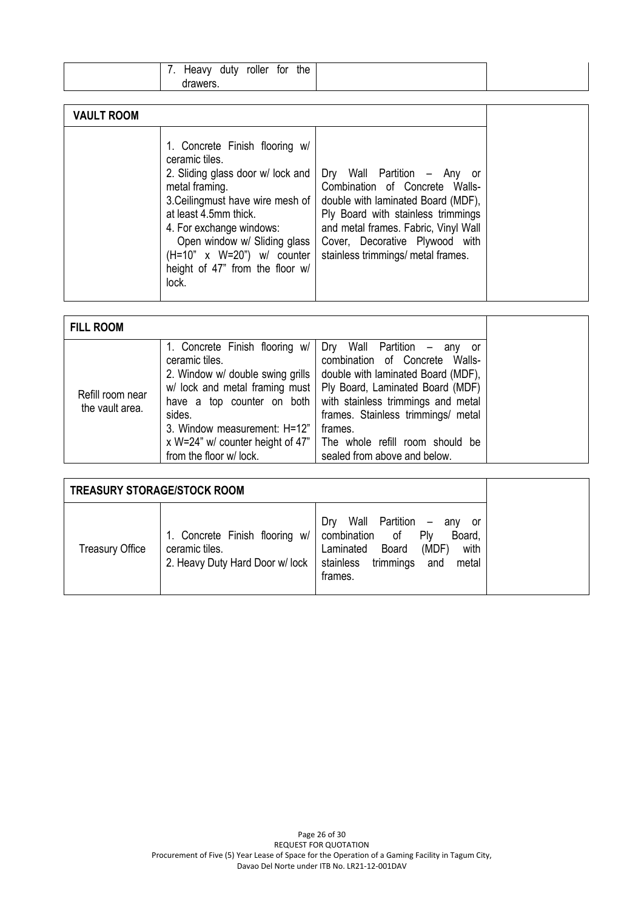| roller<br>the<br>tor<br>duty<br>Heavy |  |
|---------------------------------------|--|
| drawers                               |  |

| <b>VAULT ROOM</b>                                                                                                                                                                                                                                                                                                                                                                                                                                                                                                                                                               |
|---------------------------------------------------------------------------------------------------------------------------------------------------------------------------------------------------------------------------------------------------------------------------------------------------------------------------------------------------------------------------------------------------------------------------------------------------------------------------------------------------------------------------------------------------------------------------------|
| 1. Concrete Finish flooring w/<br>ceramic tiles.<br>2. Sliding glass door w/ lock and<br>Dry Wall Partition - Any<br>.or<br>Combination of Concrete Walls-<br>metal framing.<br>3. Ceilingmust have wire mesh of<br>double with laminated Board (MDF),<br>at least 4.5mm thick.<br>Ply Board with stainless trimmings<br>and metal frames. Fabric, Vinyl Wall<br>4. For exchange windows:<br>Open window w/ Sliding glass  <br>Cover, Decorative Plywood with<br>stainless trimmings/ metal frames.<br>$(H=10" x W=20") w/ counter$<br>height of 47" from the floor w/<br>lock. |

| <b>FILL ROOM</b>                    |                                                                                                                                                                                         |                                                                                                                                                                                                                                                                                                                                                                            |
|-------------------------------------|-----------------------------------------------------------------------------------------------------------------------------------------------------------------------------------------|----------------------------------------------------------------------------------------------------------------------------------------------------------------------------------------------------------------------------------------------------------------------------------------------------------------------------------------------------------------------------|
| Refill room near<br>the vault area. | 1. Concrete Finish flooring w/<br>ceramic tiles.<br>2. Window w/ double swing grills<br>have a top counter on both<br>sides.<br>3. Window measurement: H=12"<br>from the floor w/ lock. | Dry Wall Partition - any<br>or -<br>combination of Concrete Walls-<br>double with laminated Board (MDF),<br>w/ lock and metal framing must   Ply Board, Laminated Board (MDF)<br>with stainless trimmings and metal<br>frames. Stainless trimmings/ metal<br>frames.<br>x W=24" w/ counter height of 47"   The whole refill room should be<br>sealed from above and below. |

| <b>TREASURY STORAGE/STOCK ROOM</b> |                                                                                    |                                                                                                                                                                                                              |  |
|------------------------------------|------------------------------------------------------------------------------------|--------------------------------------------------------------------------------------------------------------------------------------------------------------------------------------------------------------|--|
| <b>Treasury Office</b>             | 1. Concrete Finish flooring w/<br>ceramic tiles.<br>2. Heavy Duty Hard Door w/lock | Wall Partition<br>Drv<br>$\overline{\phantom{m}}$<br>anv<br>.or<br>combination<br>of<br>P <sub>W</sub><br>Board,<br>with<br>Board<br>(MDF)<br>Laminated<br>trimmings<br>stainless<br>metal<br>and<br>frames. |  |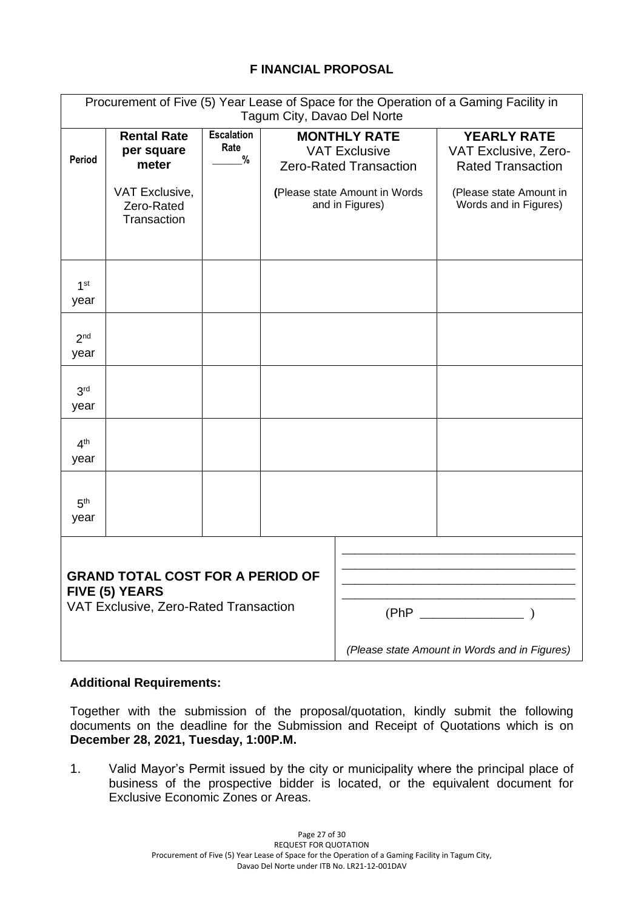#### **F INANCIAL PROPOSAL**

| Procurement of Five (5) Year Lease of Space for the Operation of a Gaming Facility in<br>Tagum City, Davao Del Norte |                                                             |                                   |                                                                                                               |            |                                                                                                   |  |
|----------------------------------------------------------------------------------------------------------------------|-------------------------------------------------------------|-----------------------------------|---------------------------------------------------------------------------------------------------------------|------------|---------------------------------------------------------------------------------------------------|--|
| Period                                                                                                               | <b>Rental Rate</b><br>per square<br>meter<br>VAT Exclusive, | <b>Escalation</b><br>Rate<br>$\%$ | <b>MONTHLY RATE</b><br><b>VAT Exclusive</b><br><b>Zero-Rated Transaction</b><br>(Please state Amount in Words |            | <b>YEARLY RATE</b><br>VAT Exclusive, Zero-<br><b>Rated Transaction</b><br>(Please state Amount in |  |
|                                                                                                                      | Zero-Rated<br>Transaction                                   |                                   | and in Figures)                                                                                               |            | Words and in Figures)                                                                             |  |
| 1 <sup>st</sup><br>year                                                                                              |                                                             |                                   |                                                                                                               |            |                                                                                                   |  |
| 2 <sup>nd</sup><br>year                                                                                              |                                                             |                                   |                                                                                                               |            |                                                                                                   |  |
| 3 <sup>rd</sup><br>year                                                                                              |                                                             |                                   |                                                                                                               |            |                                                                                                   |  |
| 4 <sup>th</sup><br>year                                                                                              |                                                             |                                   |                                                                                                               |            |                                                                                                   |  |
| 5 <sup>th</sup><br>year                                                                                              |                                                             |                                   |                                                                                                               |            |                                                                                                   |  |
| <b>GRAND TOTAL COST FOR A PERIOD OF</b><br>FIVE (5) YEARS<br>VAT Exclusive, Zero-Rated Transaction                   |                                                             |                                   |                                                                                                               | $(PhP$ $)$ |                                                                                                   |  |
|                                                                                                                      |                                                             |                                   |                                                                                                               |            | (Please state Amount in Words and in Figures)                                                     |  |

#### **Additional Requirements:**

Together with the submission of the proposal/quotation, kindly submit the following documents on the deadline for the Submission and Receipt of Quotations which is on **December 28, 2021, Tuesday, 1:00P.M.**

1. Valid Mayor's Permit issued by the city or municipality where the principal place of business of the prospective bidder is located, or the equivalent document for Exclusive Economic Zones or Areas.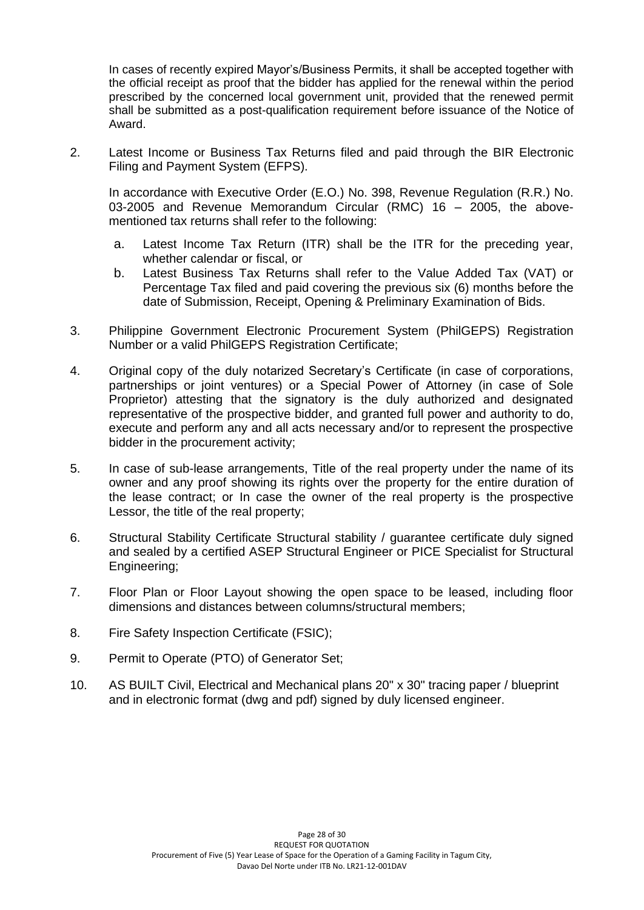In cases of recently expired Mayor's/Business Permits, it shall be accepted together with the official receipt as proof that the bidder has applied for the renewal within the period prescribed by the concerned local government unit, provided that the renewed permit shall be submitted as a post-qualification requirement before issuance of the Notice of Award.

2. Latest Income or Business Tax Returns filed and paid through the BIR Electronic Filing and Payment System (EFPS).

In accordance with Executive Order (E.O.) No. 398, Revenue Regulation (R.R.) No. 03-2005 and Revenue Memorandum Circular (RMC) 16 – 2005, the abovementioned tax returns shall refer to the following:

- a. Latest Income Tax Return (ITR) shall be the ITR for the preceding year, whether calendar or fiscal, or
- b. Latest Business Tax Returns shall refer to the Value Added Tax (VAT) or Percentage Tax filed and paid covering the previous six (6) months before the date of Submission, Receipt, Opening & Preliminary Examination of Bids.
- 3. Philippine Government Electronic Procurement System (PhilGEPS) Registration Number or a valid PhilGEPS Registration Certificate;
- 4. Original copy of the duly notarized Secretary's Certificate (in case of corporations, partnerships or joint ventures) or a Special Power of Attorney (in case of Sole Proprietor) attesting that the signatory is the duly authorized and designated representative of the prospective bidder, and granted full power and authority to do, execute and perform any and all acts necessary and/or to represent the prospective bidder in the procurement activity;
- 5. In case of sub-lease arrangements, Title of the real property under the name of its owner and any proof showing its rights over the property for the entire duration of the lease contract; or In case the owner of the real property is the prospective Lessor, the title of the real property;
- 6. Structural Stability Certificate Structural stability / guarantee certificate duly signed and sealed by a certified ASEP Structural Engineer or PICE Specialist for Structural Engineering;
- 7. Floor Plan or Floor Layout showing the open space to be leased, including floor dimensions and distances between columns/structural members;
- 8. Fire Safety Inspection Certificate (FSIC);
- 9. Permit to Operate (PTO) of Generator Set;
- 10. AS BUILT Civil, Electrical and Mechanical plans 20" x 30" tracing paper / blueprint and in electronic format (dwg and pdf) signed by duly licensed engineer.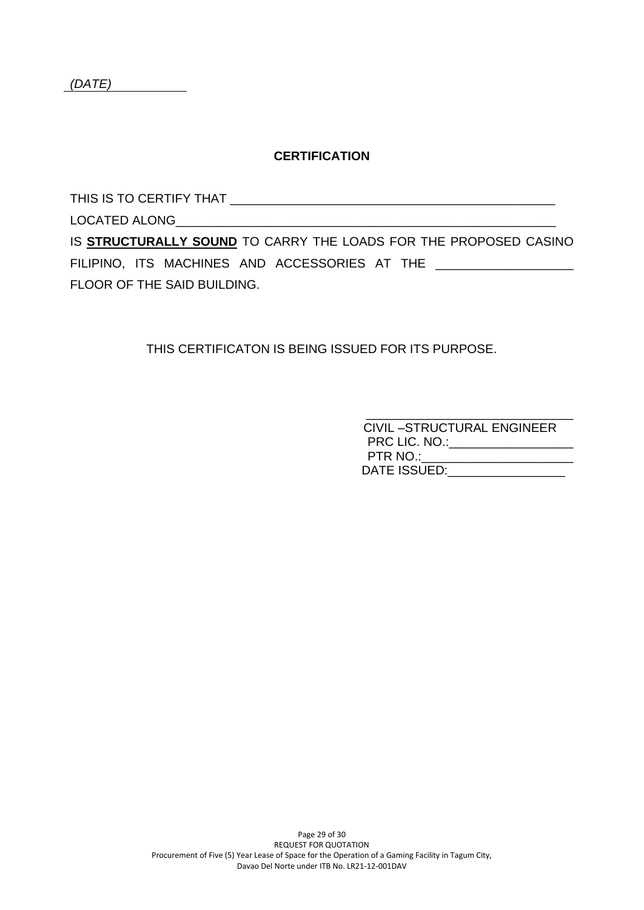#### **CERTIFICATION**

THIS IS TO CERTIFY THAT \_\_\_\_\_\_\_\_\_\_\_\_\_\_\_\_\_\_\_\_\_\_\_\_\_\_\_\_\_\_\_\_\_\_\_\_\_\_\_\_\_\_\_\_\_\_\_

LOCATED ALONG

IS **STRUCTURALLY SOUND** TO CARRY THE LOADS FOR THE PROPOSED CASINO FILIPINO, ITS MACHINES AND ACCESSORIES AT THE \_\_\_\_\_\_\_\_\_\_\_\_\_\_\_\_\_\_\_\_ FLOOR OF THE SAID BUILDING.

THIS CERTIFICATON IS BEING ISSUED FOR ITS PURPOSE.

| <b>CIVIL-STRUCTURAL ENGINEER</b> |
|----------------------------------|
| PRC LIC. NO.:                    |
| PTR NO.:                         |
| DATE ISSUED:                     |